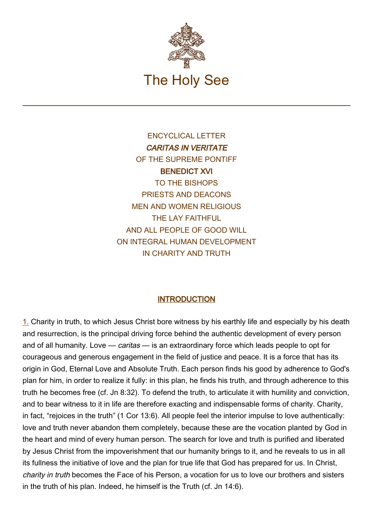

ENCYCLICAL LETTER CARITAS IN VERITATE OF THE SUPREME PONTIFF BENEDICT XVI TO THE BISHOPS PRIESTS AND DEACONS MEN AND WOMEN RELIGIOUS THE LAY FAITHFUL AND ALL PEOPLE OF GOOD WILL ON INTEGRAL HUMAN DEVELOPMENT IN CHARITY AND TRUTH

## **INTRODUCTION**

1. Charity in truth, to which Jesus Christ bore witness by his earthly life and especially by his death and resurrection, is the principal driving force behind the authentic development of every person and of all humanity. Love — *caritas* — is an extraordinary force which leads people to opt for courageous and generous engagement in the field of justice and peace. It is a force that has its origin in God, Eternal Love and Absolute Truth. Each person finds his good by adherence to God's plan for him, in order to realize it fully: in this plan, he finds his truth, and through adherence to this truth he becomes free (cf. Jn 8:32). To defend the truth, to articulate it with humility and conviction, and to bear witness to it in life are therefore exacting and indispensable forms of charity. Charity, in fact, "rejoices in the truth" (1 Cor 13:6). All people feel the interior impulse to love authentically: love and truth never abandon them completely, because these are the vocation planted by God in the heart and mind of every human person. The search for love and truth is purified and liberated by Jesus Christ from the impoverishment that our humanity brings to it, and he reveals to us in all its fullness the initiative of love and the plan for true life that God has prepared for us. In Christ, charity in truth becomes the Face of his Person, a vocation for us to love our brothers and sisters in the truth of his plan. Indeed, he himself is the Truth (cf. Jn 14:6).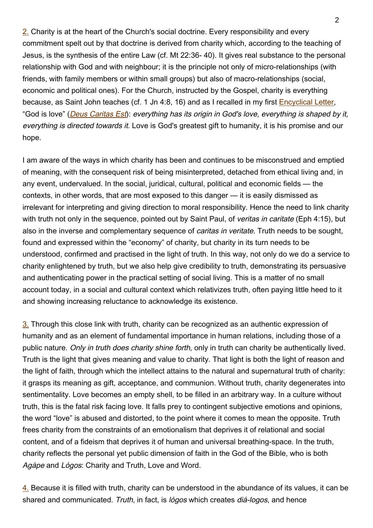2. Charity is at the heart of the Church's social doctrine. Every responsibility and every commitment spelt out by that doctrine is derived from charity which, according to the teaching of Jesus, is the synthesis of the entire Law (cf. Mt 22:36- 40). It gives real substance to the personal relationship with God and with neighbour; it is the principle not only of micro-relationships (with friends, with family members or within small groups) but also of macro-relationships (social, economic and political ones). For the Church, instructed by the Gospel, charity is everything because, as Saint John teaches (cf. 1 Jn 4:8, 16) and as I recalled in my first [Encyclical Letter,](http://w2.vatican.va/content/benedict-xvi/en/encyclicals/documents/hf_ben-xvi_enc_20051225_deus-caritas-est.html) "God is love" ([Deus Caritas Est](http://w2.vatican.va/content/benedict-xvi/en/encyclicals/documents/hf_ben-xvi_enc_20051225_deus-caritas-est.html)): everything has its origin in God's love, everything is shaped by it, everything is directed towards it. Love is God's greatest gift to humanity, it is his promise and our hope.

I am aware of the ways in which charity has been and continues to be misconstrued and emptied of meaning, with the consequent risk of being misinterpreted, detached from ethical living and, in any event, undervalued. In the social, juridical, cultural, political and economic fields — the contexts, in other words, that are most exposed to this danger — it is easily dismissed as irrelevant for interpreting and giving direction to moral responsibility. Hence the need to link charity with truth not only in the sequence, pointed out by Saint Paul, of veritas in caritate (Eph 4:15), but also in the inverse and complementary sequence of *caritas in veritate*. Truth needs to be sought, found and expressed within the "economy" of charity, but charity in its turn needs to be understood, confirmed and practised in the light of truth. In this way, not only do we do a service to charity enlightened by truth, but we also help give credibility to truth, demonstrating its persuasive and authenticating power in the practical setting of social living. This is a matter of no small account today, in a social and cultural context which relativizes truth, often paying little heed to it and showing increasing reluctance to acknowledge its existence.

3. Through this close link with truth, charity can be recognized as an authentic expression of humanity and as an element of fundamental importance in human relations, including those of a public nature. Only in truth does charity shine forth, only in truth can charity be authentically lived. Truth is the light that gives meaning and value to charity. That light is both the light of reason and the light of faith, through which the intellect attains to the natural and supernatural truth of charity: it grasps its meaning as gift, acceptance, and communion. Without truth, charity degenerates into sentimentality. Love becomes an empty shell, to be filled in an arbitrary way. In a culture without truth, this is the fatal risk facing love. It falls prey to contingent subjective emotions and opinions, the word "love" is abused and distorted, to the point where it comes to mean the opposite. Truth frees charity from the constraints of an emotionalism that deprives it of relational and social content, and of a fideism that deprives it of human and universal breathing-space. In the truth, charity reflects the personal yet public dimension of faith in the God of the Bible, who is both Agápe and Lógos: Charity and Truth, Love and Word.

4. Because it is filled with truth, charity can be understood in the abundance of its values, it can be shared and communicated. Truth, in fact, is *lógos* which creates *diá-logos*, and hence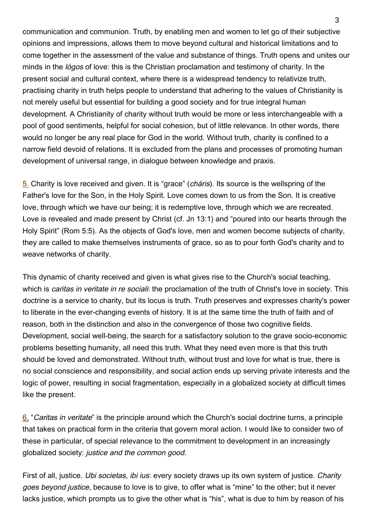communication and communion. Truth, by enabling men and women to let go of their subjective opinions and impressions, allows them to move beyond cultural and historical limitations and to come together in the assessment of the value and substance of things. Truth opens and unites our minds in the *lógos* of love: this is the Christian proclamation and testimony of charity. In the present social and cultural context, where there is a widespread tendency to relativize truth, practising charity in truth helps people to understand that adhering to the values of Christianity is not merely useful but essential for building a good society and for true integral human development. A Christianity of charity without truth would be more or less interchangeable with a pool of good sentiments, helpful for social cohesion, but of little relevance. In other words, there would no longer be any real place for God in the world. Without truth, charity is confined to a narrow field devoid of relations. It is excluded from the plans and processes of promoting human development of universal range, in dialogue between knowledge and praxis.

5. Charity is love received and given. It is "grace" (cháris). Its source is the wellspring of the Father's love for the Son, in the Holy Spirit. Love comes down to us from the Son. It is creative love, through which we have our being; it is redemptive love, through which we are recreated. Love is revealed and made present by Christ (cf. Jn 13:1) and "poured into our hearts through the Holy Spirit" (Rom 5:5). As the objects of God's love, men and women become subjects of charity, they are called to make themselves instruments of grace, so as to pour forth God's charity and to weave networks of charity.

This dynamic of charity received and given is what gives rise to the Church's social teaching, which is *caritas in veritate in re sociali*: the proclamation of the truth of Christ's love in society. This doctrine is a service to charity, but its locus is truth. Truth preserves and expresses charity's power to liberate in the ever-changing events of history. It is at the same time the truth of faith and of reason, both in the distinction and also in the convergence of those two cognitive fields. Development, social well-being, the search for a satisfactory solution to the grave socio-economic problems besetting humanity, all need this truth. What they need even more is that this truth should be loved and demonstrated. Without truth, without trust and love for what is true, there is no social conscience and responsibility, and social action ends up serving private interests and the logic of power, resulting in social fragmentation, especially in a globalized society at difficult times like the present.

6. "Caritas in veritate" is the principle around which the Church's social doctrine turns, a principle that takes on practical form in the criteria that govern moral action. I would like to consider two of these in particular, of special relevance to the commitment to development in an increasingly globalized society: justice and the common good.

First of all, justice. Ubi societas, ibi ius: every society draws up its own system of justice. Charity goes beyond justice, because to love is to give, to offer what is "mine" to the other; but it never lacks justice, which prompts us to give the other what is "his", what is due to him by reason of his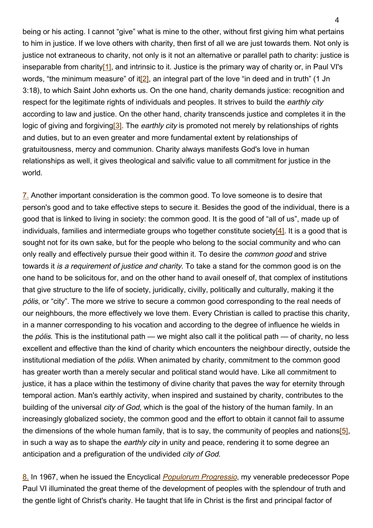being or his acting. I cannot "give" what is mine to the other, without first giving him what pertains to him in justice. If we love others with charity, then first of all we are just towards them. Not only is justice not extraneous to charity, not only is it not an alternative or parallel path to charity: justice is inseparable from charity[1], and intrinsic to it. Justice is the primary way of charity or, in Paul VI's words, "the minimum measure" of it<sup>[2]</sup>, an integral part of the love "in deed and in truth" (1 Jn 3:18), to which Saint John exhorts us. On the one hand, charity demands justice: recognition and respect for the legitimate rights of individuals and peoples. It strives to build the earthly city according to law and justice. On the other hand, charity transcends justice and completes it in the logic of giving and forgiving 3. The earthly city is promoted not merely by relationships of rights and duties, but to an even greater and more fundamental extent by relationships of gratuitousness, mercy and communion. Charity always manifests God's love in human relationships as well, it gives theological and salvific value to all commitment for justice in the world.

7. Another important consideration is the common good. To love someone is to desire that person's good and to take effective steps to secure it. Besides the good of the individual, there is a good that is linked to living in society: the common good. It is the good of "all of us", made up of individuals, families and intermediate groups who together constitute society<sup>[4]</sup>. It is a good that is sought not for its own sake, but for the people who belong to the social community and who can only really and effectively pursue their good within it. To desire the *common good* and strive towards it is a requirement of justice and charity. To take a stand for the common good is on the one hand to be solicitous for, and on the other hand to avail oneself of, that complex of institutions that give structure to the life of society, juridically, civilly, politically and culturally, making it the pólis, or "city". The more we strive to secure a common good corresponding to the real needs of our neighbours, the more effectively we love them. Every Christian is called to practise this charity, in a manner corresponding to his vocation and according to the degree of influence he wields in the *pólis*. This is the institutional path — we might also call it the political path — of charity, no less excellent and effective than the kind of charity which encounters the neighbour directly, outside the institutional mediation of the *pólis*. When animated by charity, commitment to the common good has greater worth than a merely secular and political stand would have. Like all commitment to justice, it has a place within the testimony of divine charity that paves the way for eternity through temporal action. Man's earthly activity, when inspired and sustained by charity, contributes to the building of the universal *city of God*, which is the goal of the history of the human family. In an increasingly globalized society, the common good and the effort to obtain it cannot fail to assume the dimensions of the whole human family, that is to say, the community of peoples and nations[5], in such a way as to shape the *earthly city* in unity and peace, rendering it to some degree an anticipation and a prefiguration of the undivided city of God.

8. In 1967, when he issued the Encyclical *[Populorum Progressio](http://w2.vatican.va/content/paul-vi/en/encyclicals/documents/hf_p-vi_enc_26031967_populorum.html)*, my venerable predecessor Pope Paul VI illuminated the great theme of the development of peoples with the splendour of truth and the gentle light of Christ's charity. He taught that life in Christ is the first and principal factor of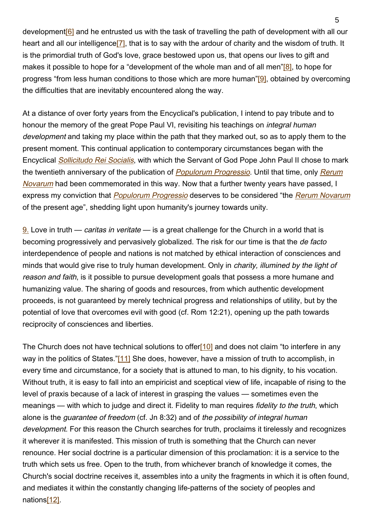development<sup>[6]</sup> and he entrusted us with the task of travelling the path of development with all our heart and all our intelligence<sup>[7]</sup>, that is to say with the ardour of charity and the wisdom of truth. It is the primordial truth of God's love, grace bestowed upon us, that opens our lives to gift and makes it possible to hope for a "development of the whole man and of all men"[8], to hope for progress "from less human conditions to those which are more human"[9], obtained by overcoming the difficulties that are inevitably encountered along the way.

At a distance of over forty years from the Encyclical's publication, I intend to pay tribute and to honour the memory of the great Pope Paul VI, revisiting his teachings on integral human development and taking my place within the path that they marked out, so as to apply them to the present moment. This continual application to contemporary circumstances began with the Encyclical *[Sollicitudo Rei Socialis](http://w2.vatican.va/content/john-paul-ii/en/encyclicals/documents/hf_jp-ii_enc_30121987_sollicitudo-rei-socialis.html)*, with which the Servant of God Pope John Paul II chose to mark the twentieth anniversary of the publication of [Populorum Progressio](http://w2.vatican.va/content/paul-vi/en/encyclicals/documents/hf_p-vi_enc_26031967_populorum.html). Until that time, only [Rerum](http://w2.vatican.va/content/leo-xiii/en/encyclicals/documents/hf_l-xiii_enc_15051891_rerum-novarum.html) [Novarum](http://w2.vatican.va/content/leo-xiii/en/encyclicals/documents/hf_l-xiii_enc_15051891_rerum-novarum.html) had been commemorated in this way. Now that a further twenty years have passed, I express my conviction that *[Populorum Progressio](http://w2.vatican.va/content/paul-vi/en/encyclicals/documents/hf_p-vi_enc_26031967_populorum.html)* deserves to be considered "the *[Rerum Novarum](http://w2.vatican.va/content/leo-xiii/en/encyclicals/documents/hf_l-xiii_enc_15051891_rerum-novarum.html)* of the present age", shedding light upon humanity's journey towards unity.

9. Love in truth — *caritas in veritate* — is a great challenge for the Church in a world that is becoming progressively and pervasively globalized. The risk for our time is that the de facto interdependence of people and nations is not matched by ethical interaction of consciences and minds that would give rise to truly human development. Only in *charity, illumined by the light of* reason and faith, is it possible to pursue development goals that possess a more humane and humanizing value. The sharing of goods and resources, from which authentic development proceeds, is not guaranteed by merely technical progress and relationships of utility, but by the potential of love that overcomes evil with good (cf. Rom 12:21), opening up the path towards reciprocity of consciences and liberties.

The Church does not have technical solutions to offer<sup>[10]</sup> and does not claim "to interfere in any way in the politics of States."[11] She does, however, have a mission of truth to accomplish, in every time and circumstance, for a society that is attuned to man, to his dignity, to his vocation. Without truth, it is easy to fall into an empiricist and sceptical view of life, incapable of rising to the level of praxis because of a lack of interest in grasping the values — sometimes even the meanings — with which to judge and direct it. Fidelity to man requires fidelity to the truth, which alone is the guarantee of freedom (cf. Jn 8:32) and of the possibility of integral human development. For this reason the Church searches for truth, proclaims it tirelessly and recognizes it wherever it is manifested. This mission of truth is something that the Church can never renounce. Her social doctrine is a particular dimension of this proclamation: it is a service to the truth which sets us free. Open to the truth, from whichever branch of knowledge it comes, the Church's social doctrine receives it, assembles into a unity the fragments in which it is often found, and mediates it within the constantly changing life-patterns of the society of peoples and nations[12].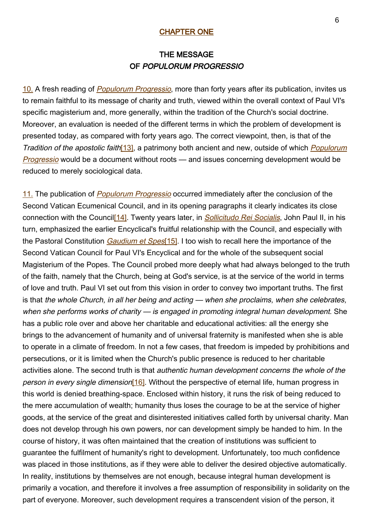#### CHAPTER ONE

## THE MESSAGE OF POPULORUM PROGRESSIO

10. A fresh reading of [Populorum Progressio](http://w2.vatican.va/content/paul-vi/en/encyclicals/documents/hf_p-vi_enc_26031967_populorum.html), more than forty years after its publication, invites us to remain faithful to its message of charity and truth, viewed within the overall context of Paul VI's specific magisterium and, more generally, within the tradition of the Church's social doctrine. Moreover, an evaluation is needed of the different terms in which the problem of development is presented today, as compared with forty years ago. The correct viewpoint, then, is that of the Tradition of the apostolic faith<sup>[13]</sup>, a patrimony both ancient and new, outside of which *[Populorum](http://w2.vatican.va/content/paul-vi/en/encyclicals/documents/hf_p-vi_enc_26031967_populorum.html)* **[Progressio](http://w2.vatican.va/content/paul-vi/en/encyclicals/documents/hf_p-vi_enc_26031967_populorum.html)** would be a document without roots — and issues concerning development would be reduced to merely sociological data.

11. The publication of *[Populorum Progressio](http://w2.vatican.va/content/paul-vi/en/encyclicals/documents/hf_p-vi_enc_26031967_populorum.html)* occurred immediately after the conclusion of the Second Vatican Ecumenical Council, and in its opening paragraphs it clearly indicates its close connection with the Council<sup>[14]</sup>. Twenty years later, in *[Sollicitudo Rei Socialis](http://w2.vatican.va/content/john-paul-ii/en/encyclicals/documents/hf_jp-ii_enc_30121987_sollicitudo-rei-socialis.html)*, John Paul II, in his turn, emphasized the earlier Encyclical's fruitful relationship with the Council, and especially with the Pastoral Constitution *[Gaudium et Spes](http://www.vatican.va/archive/hist_councils/ii_vatican_council/documents/vat-ii_const_19651207_gaudium-et-spes_en.html)*<sup>[15]</sup>. I too wish to recall here the importance of the Second Vatican Council for Paul VI's Encyclical and for the whole of the subsequent social Magisterium of the Popes. The Council probed more deeply what had always belonged to the truth of the faith, namely that the Church, being at God's service, is at the service of the world in terms of love and truth. Paul VI set out from this vision in order to convey two important truths. The first is that the whole Church, in all her being and acting — when she proclaims, when she celebrates, when she performs works of charity — is engaged in promoting integral human development. She has a public role over and above her charitable and educational activities: all the energy she brings to the advancement of humanity and of universal fraternity is manifested when she is able to operate in a climate of freedom. In not a few cases, that freedom is impeded by prohibitions and persecutions, or it is limited when the Church's public presence is reduced to her charitable activities alone. The second truth is that authentic human development concerns the whole of the person in every single dimension<sup>[16]</sup>. Without the perspective of eternal life, human progress in this world is denied breathing-space. Enclosed within history, it runs the risk of being reduced to the mere accumulation of wealth; humanity thus loses the courage to be at the service of higher goods, at the service of the great and disinterested initiatives called forth by universal charity. Man does not develop through his own powers, nor can development simply be handed to him. In the course of history, it was often maintained that the creation of institutions was sufficient to guarantee the fulfilment of humanity's right to development. Unfortunately, too much confidence was placed in those institutions, as if they were able to deliver the desired objective automatically. In reality, institutions by themselves are not enough, because integral human development is primarily a vocation, and therefore it involves a free assumption of responsibility in solidarity on the part of everyone. Moreover, such development requires a transcendent vision of the person, it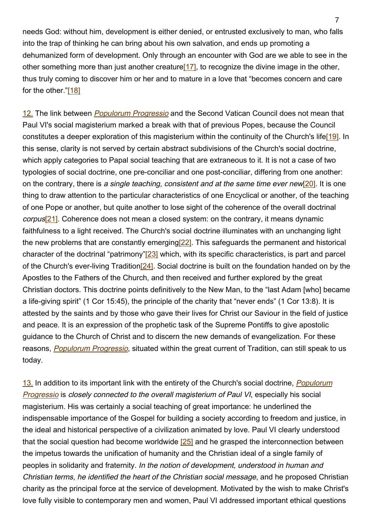needs God: without him, development is either denied, or entrusted exclusively to man, who falls into the trap of thinking he can bring about his own salvation, and ends up promoting a dehumanized form of development. Only through an encounter with God are we able to see in the other something more than just another creature<sup>[17]</sup>, to recognize the divine image in the other, thus truly coming to discover him or her and to mature in a love that "becomes concern and care for the other."[18]

12. The link between *[Populorum Progressio](http://w2.vatican.va/content/paul-vi/en/encyclicals/documents/hf_p-vi_enc_26031967_populorum.html)* and the Second Vatican Council does not mean that Paul VI's social magisterium marked a break with that of previous Popes, because the Council constitutes a deeper exploration of this magisterium within the continuity of the Church's life[19]. In this sense, clarity is not served by certain abstract subdivisions of the Church's social doctrine, which apply categories to Papal social teaching that are extraneous to it. It is not a case of two typologies of social doctrine, one pre-conciliar and one post-conciliar, differing from one another: on the contrary, there is a single teaching, consistent and at the same time ever new[20]. It is one thing to draw attention to the particular characteristics of one Encyclical or another, of the teaching of one Pope or another, but quite another to lose sight of the coherence of the overall doctrinal corpus[21]. Coherence does not mean a closed system: on the contrary, it means dynamic faithfulness to a light received. The Church's social doctrine illuminates with an unchanging light the new problems that are constantly emerging<sup>[22]</sup>. This safeguards the permanent and historical character of the doctrinal "patrimony" $[23]$  which, with its specific characteristics, is part and parcel of the Church's ever-living Tradition<sup>[24]</sup>. Social doctrine is built on the foundation handed on by the Apostles to the Fathers of the Church, and then received and further explored by the great Christian doctors. This doctrine points definitively to the New Man, to the "last Adam [who] became a life-giving spirit" (1 Cor 15:45), the principle of the charity that "never ends" (1 Cor 13:8). It is attested by the saints and by those who gave their lives for Christ our Saviour in the field of justice and peace. It is an expression of the prophetic task of the Supreme Pontiffs to give apostolic guidance to the Church of Christ and to discern the new demands of evangelization. For these reasons, [Populorum Progressio](http://w2.vatican.va/content/paul-vi/en/encyclicals/documents/hf_p-vi_enc_26031967_populorum.html), situated within the great current of Tradition, can still speak to us today.

13. In addition to its important link with the entirety of the Church's social doctrine, *[Populorum](http://w2.vatican.va/content/paul-vi/en/encyclicals/documents/hf_p-vi_enc_26031967_populorum.html)* **[Progressio](http://w2.vatican.va/content/paul-vi/en/encyclicals/documents/hf_p-vi_enc_26031967_populorum.html)** is closely connected to the overall magisterium of Paul VI, especially his social magisterium. His was certainly a social teaching of great importance: he underlined the indispensable importance of the Gospel for building a society according to freedom and justice, in the ideal and historical perspective of a civilization animated by love. Paul VI clearly understood that the social question had become worldwide  $[25]$  and he grasped the interconnection between the impetus towards the unification of humanity and the Christian ideal of a single family of peoples in solidarity and fraternity. In the notion of development, understood in human and Christian terms, he identified the heart of the Christian social message, and he proposed Christian charity as the principal force at the service of development. Motivated by the wish to make Christ's love fully visible to contemporary men and women, Paul VI addressed important ethical questions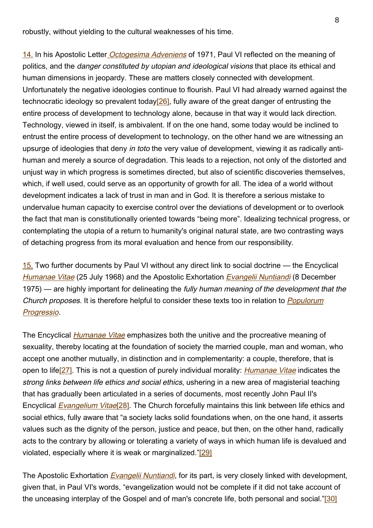robustly, without yielding to the cultural weaknesses of his time.

14. In his Apostolic Letter [Octogesima Adveniens](http://w2.vatican.va/content/paul-vi/en/apost_letters/documents/hf_p-vi_apl_19710514_octogesima-adveniens.html) of 1971, Paul VI reflected on the meaning of politics, and the danger constituted by utopian and ideological visions that place its ethical and human dimensions in jeopardy. These are matters closely connected with development. Unfortunately the negative ideologies continue to flourish. Paul VI had already warned against the technocratic ideology so prevalent today<sup>[26]</sup>, fully aware of the great danger of entrusting the entire process of development to technology alone, because in that way it would lack direction. Technology, viewed in itself, is ambivalent. If on the one hand, some today would be inclined to entrust the entire process of development to technology, on the other hand we are witnessing an upsurge of ideologies that deny in toto the very value of development, viewing it as radically antihuman and merely a source of degradation. This leads to a rejection, not only of the distorted and unjust way in which progress is sometimes directed, but also of scientific discoveries themselves, which, if well used, could serve as an opportunity of growth for all. The idea of a world without development indicates a lack of trust in man and in God. It is therefore a serious mistake to undervalue human capacity to exercise control over the deviations of development or to overlook the fact that man is constitutionally oriented towards "being more". Idealizing technical progress, or contemplating the utopia of a return to humanity's original natural state, are two contrasting ways of detaching progress from its moral evaluation and hence from our responsibility.

15. Two further documents by Paul VI without any direct link to social doctrine — the Encyclical [Humanae Vitae](http://w2.vatican.va/content/paul-vi/en/encyclicals/documents/hf_p-vi_enc_25071968_humanae-vitae.html) (25 July 1968) and the Apostolic Exhortation [Evangelii Nuntiandi](http://w2.vatican.va/content/paul-vi/en/apost_exhortations/documents/hf_p-vi_exh_19751208_evangelii-nuntiandi.html) (8 December 1975) — are highly important for delineating the fully human meaning of the development that the Church proposes. It is therefore helpful to consider these texts too in relation to [Populorum](http://w2.vatican.va/content/paul-vi/en/encyclicals/documents/hf_p-vi_enc_26031967_populorum.html) [Progressio](http://w2.vatican.va/content/paul-vi/en/encyclicals/documents/hf_p-vi_enc_26031967_populorum.html).

The Encyclical [Humanae Vitae](http://w2.vatican.va/content/paul-vi/en/encyclicals/documents/hf_p-vi_enc_25071968_humanae-vitae.html) emphasizes both the unitive and the procreative meaning of sexuality, thereby locating at the foundation of society the married couple, man and woman, who accept one another mutually, in distinction and in complementarity: a couple, therefore, that is open to life<sup>[27]</sup>. This is not a question of purely individual morality: *[Humanae Vitae](http://w2.vatican.va/content/paul-vi/en/encyclicals/documents/hf_p-vi_enc_25071968_humanae-vitae.html)* indicates the strong links between life ethics and social ethics, ushering in a new area of magisterial teaching that has gradually been articulated in a series of documents, most recently John Paul II's Encyclical *[Evangelium Vitae](http://w2.vatican.va/content/john-paul-ii/en/encyclicals/documents/hf_jp-ii_enc_25031995_evangelium-vitae.html)*<sup>[28]</sup>. The Church forcefully maintains this link between life ethics and social ethics, fully aware that "a society lacks solid foundations when, on the one hand, it asserts values such as the dignity of the person, justice and peace, but then, on the other hand, radically acts to the contrary by allowing or tolerating a variety of ways in which human life is devalued and violated, especially where it is weak or marginalized."[29]

The Apostolic Exhortation *[Evangelii Nuntiandi](http://w2.vatican.va/content/paul-vi/en/apost_exhortations/documents/hf_p-vi_exh_19751208_evangelii-nuntiandi.html)*, for its part, is very closely linked with development, given that, in Paul VI's words, "evangelization would not be complete if it did not take account of the unceasing interplay of the Gospel and of man's concrete life, both personal and social."[30]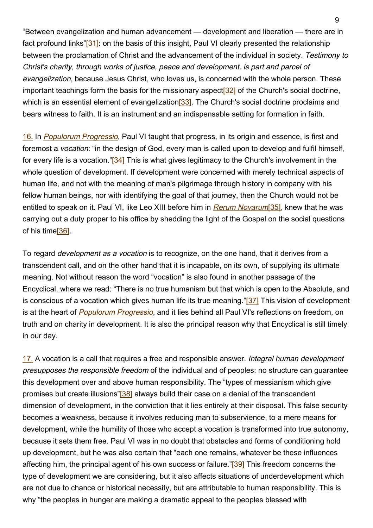"Between evangelization and human advancement — development and liberation — there are in fact profound links"[31]: on the basis of this insight, Paul VI clearly presented the relationship between the proclamation of Christ and the advancement of the individual in society. Testimony to Christ's charity, through works of justice, peace and development, is part and parcel of evangelization, because Jesus Christ, who loves us, is concerned with the whole person. These important teachings form the basis for the missionary aspect[32] of the Church's social doctrine, which is an essential element of evangelization<sup>[33]</sup>. The Church's social doctrine proclaims and bears witness to faith. It is an instrument and an indispensable setting for formation in faith.

16. In [Populorum Progressio](http://w2.vatican.va/content/paul-vi/en/encyclicals/documents/hf_p-vi_enc_26031967_populorum.html), Paul VI taught that progress, in its origin and essence, is first and foremost a vocation: "in the design of God, every man is called upon to develop and fulfil himself, for every life is a vocation."[34] This is what gives legitimacy to the Church's involvement in the whole question of development. If development were concerned with merely technical aspects of human life, and not with the meaning of man's pilgrimage through history in company with his fellow human beings, nor with identifying the goal of that journey, then the Church would not be entitled to speak on it. Paul VI, like Leo XIII before him in [Rerum Novarum](http://w2.vatican.va/content/leo-xiii/en/encyclicals/documents/hf_l-xiii_enc_15051891_rerum-novarum.html)<sup>[35]</sup>, knew that he was carrying out a duty proper to his office by shedding the light of the Gospel on the social questions of his time[36].

To regard *development as a vocation* is to recognize, on the one hand, that it derives from a transcendent call, and on the other hand that it is incapable, on its own, of supplying its ultimate meaning. Not without reason the word "vocation" is also found in another passage of the Encyclical, where we read: "There is no true humanism but that which is open to the Absolute, and is conscious of a vocation which gives human life its true meaning."[37] This vision of development is at the heart of [Populorum Progressio](http://w2.vatican.va/content/paul-vi/en/encyclicals/documents/hf_p-vi_enc_26031967_populorum.html), and it lies behind all Paul VI's reflections on freedom, on truth and on charity in development. It is also the principal reason why that Encyclical is still timely in our day.

17. A vocation is a call that requires a free and responsible answer. *Integral human development* presupposes the responsible freedom of the individual and of peoples: no structure can guarantee this development over and above human responsibility. The "types of messianism which give promises but create illusions"[38] always build their case on a denial of the transcendent dimension of development, in the conviction that it lies entirely at their disposal. This false security becomes a weakness, because it involves reducing man to subservience, to a mere means for development, while the humility of those who accept a vocation is transformed into true autonomy, because it sets them free. Paul VI was in no doubt that obstacles and forms of conditioning hold up development, but he was also certain that "each one remains, whatever be these influences affecting him, the principal agent of his own success or failure."[39] This freedom concerns the type of development we are considering, but it also affects situations of underdevelopment which are not due to chance or historical necessity, but are attributable to human responsibility. This is why "the peoples in hunger are making a dramatic appeal to the peoples blessed with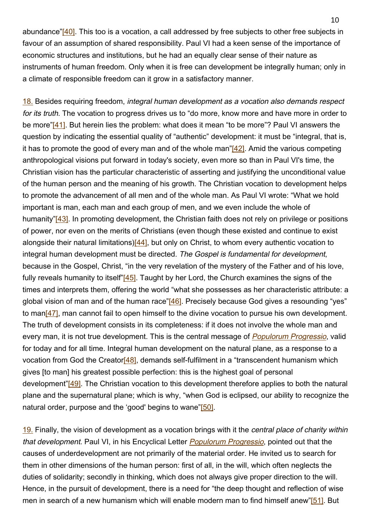abundance"[40]. This too is a vocation, a call addressed by free subjects to other free subjects in favour of an assumption of shared responsibility. Paul VI had a keen sense of the importance of economic structures and institutions, but he had an equally clear sense of their nature as instruments of human freedom. Only when it is free can development be integrally human; only in a climate of responsible freedom can it grow in a satisfactory manner.

18. Besides requiring freedom, integral human development as a vocation also demands respect for its truth. The vocation to progress drives us to "do more, know more and have more in order to be more"[41]. But herein lies the problem: what does it mean "to be more"? Paul VI answers the question by indicating the essential quality of "authentic" development: it must be "integral, that is, it has to promote the good of every man and of the whole man"[42]. Amid the various competing anthropological visions put forward in today's society, even more so than in Paul VI's time, the Christian vision has the particular characteristic of asserting and justifying the unconditional value of the human person and the meaning of his growth. The Christian vocation to development helps to promote the advancement of all men and of the whole man. As Paul VI wrote: "What we hold important is man, each man and each group of men, and we even include the whole of humanity"[43]. In promoting development, the Christian faith does not rely on privilege or positions of power, nor even on the merits of Christians (even though these existed and continue to exist alongside their natural limitations)[44], but only on Christ, to whom every authentic vocation to integral human development must be directed. The Gospel is fundamental for development, because in the Gospel, Christ, "in the very revelation of the mystery of the Father and of his love, fully reveals humanity to itself<sup>"[45]</sup>. Taught by her Lord, the Church examines the signs of the times and interprets them, offering the world "what she possesses as her characteristic attribute: a global vision of man and of the human race" $[46]$ . Precisely because God gives a resounding "yes" to man<sup>[47]</sup>, man cannot fail to open himself to the divine vocation to pursue his own development. The truth of development consists in its completeness: if it does not involve the whole man and every man, it is not true development. This is the central message of **[Populorum Progressio](http://w2.vatican.va/content/paul-vi/en/encyclicals/documents/hf_p-vi_enc_26031967_populorum.html)**, valid for today and for all time. Integral human development on the natural plane, as a response to a vocation from God the Creator<sup>[48]</sup>, demands self-fulfilment in a "transcendent humanism which gives [to man] his greatest possible perfection: this is the highest goal of personal development"<sup>[49]</sup>. The Christian vocation to this development therefore applies to both the natural plane and the supernatural plane; which is why, "when God is eclipsed, our ability to recognize the natural order, purpose and the 'good' begins to wane"[50].

19. Finally, the vision of development as a vocation brings with it the central place of charity within that development. Paul VI, in his Encyclical Letter **[Populorum Progressio](http://w2.vatican.va/content/paul-vi/en/encyclicals/documents/hf_p-vi_enc_26031967_populorum.html)**, pointed out that the causes of underdevelopment are not primarily of the material order. He invited us to search for them in other dimensions of the human person: first of all, in the will, which often neglects the duties of solidarity; secondly in thinking, which does not always give proper direction to the will. Hence, in the pursuit of development, there is a need for "the deep thought and reflection of wise men in search of a new humanism which will enable modern man to find himself anew"[51]. But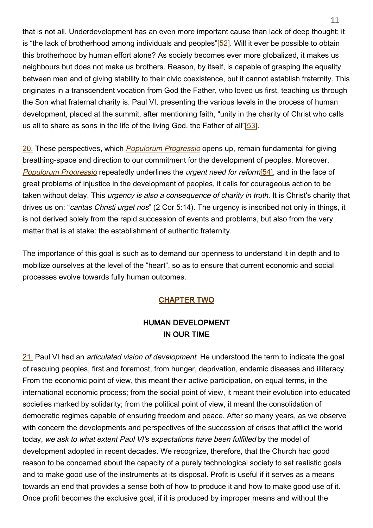that is not all. Underdevelopment has an even more important cause than lack of deep thought: it is "the lack of brotherhood among individuals and peoples"[52]. Will it ever be possible to obtain this brotherhood by human effort alone? As society becomes ever more globalized, it makes us neighbours but does not make us brothers. Reason, by itself, is capable of grasping the equality between men and of giving stability to their civic coexistence, but it cannot establish fraternity. This originates in a transcendent vocation from God the Father, who loved us first, teaching us through the Son what fraternal charity is. Paul VI, presenting the various levels in the process of human development, placed at the summit, after mentioning faith, "unity in the charity of Christ who calls us all to share as sons in the life of the living God, the Father of all"[53].

20. These perspectives, which *[Populorum Progressio](http://w2.vatican.va/content/paul-vi/en/encyclicals/documents/hf_p-vi_enc_26031967_populorum.html)* opens up, remain fundamental for giving breathing-space and direction to our commitment for the development of peoples. Moreover, [Populorum Progressio](http://w2.vatican.va/content/paul-vi/en/encyclicals/documents/hf_p-vi_enc_26031967_populorum.html) repeatedly underlines the urgent need for reform<sup>[54]</sup>, and in the face of great problems of injustice in the development of peoples, it calls for courageous action to be taken without delay. This *urgency is also a consequence of charity in truth*. It is Christ's charity that drives us on: "caritas Christi urget nos" (2 Cor 5:14). The urgency is inscribed not only in things, it is not derived solely from the rapid succession of events and problems, but also from the very matter that is at stake: the establishment of authentic fraternity.

The importance of this goal is such as to demand our openness to understand it in depth and to mobilize ourselves at the level of the "heart", so as to ensure that current economic and social processes evolve towards fully human outcomes.

## CHAPTER TWO

## HUMAN DEVELOPMENT IN OUR TIME

21. Paul VI had an *articulated vision of development*. He understood the term to indicate the goal of rescuing peoples, first and foremost, from hunger, deprivation, endemic diseases and illiteracy. From the economic point of view, this meant their active participation, on equal terms, in the international economic process; from the social point of view, it meant their evolution into educated societies marked by solidarity; from the political point of view, it meant the consolidation of democratic regimes capable of ensuring freedom and peace. After so many years, as we observe with concern the developments and perspectives of the succession of crises that afflict the world today, we ask to what extent Paul VI's expectations have been fulfilled by the model of development adopted in recent decades. We recognize, therefore, that the Church had good reason to be concerned about the capacity of a purely technological society to set realistic goals and to make good use of the instruments at its disposal. Profit is useful if it serves as a means towards an end that provides a sense both of how to produce it and how to make good use of it. Once profit becomes the exclusive goal, if it is produced by improper means and without the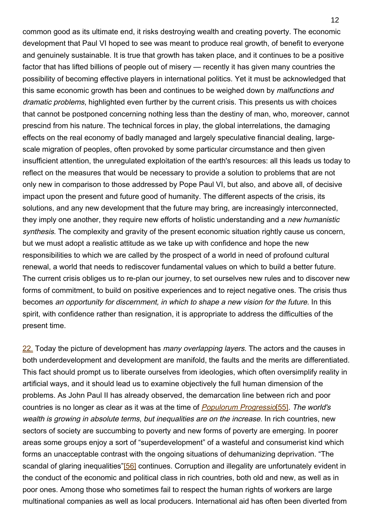common good as its ultimate end, it risks destroying wealth and creating poverty. The economic development that Paul VI hoped to see was meant to produce real growth, of benefit to everyone and genuinely sustainable. It is true that growth has taken place, and it continues to be a positive factor that has lifted billions of people out of misery — recently it has given many countries the possibility of becoming effective players in international politics. Yet it must be acknowledged that this same economic growth has been and continues to be weighed down by *malfunctions and* dramatic problems, highlighted even further by the current crisis. This presents us with choices that cannot be postponed concerning nothing less than the destiny of man, who, moreover, cannot prescind from his nature. The technical forces in play, the global interrelations, the damaging effects on the real economy of badly managed and largely speculative financial dealing, largescale migration of peoples, often provoked by some particular circumstance and then given insufficient attention, the unregulated exploitation of the earth's resources: all this leads us today to reflect on the measures that would be necessary to provide a solution to problems that are not only new in comparison to those addressed by Pope Paul VI, but also, and above all, of decisive impact upon the present and future good of humanity. The different aspects of the crisis, its solutions, and any new development that the future may bring, are increasingly interconnected, they imply one another, they require new efforts of holistic understanding and a new humanistic synthesis. The complexity and gravity of the present economic situation rightly cause us concern, but we must adopt a realistic attitude as we take up with confidence and hope the new responsibilities to which we are called by the prospect of a world in need of profound cultural renewal, a world that needs to rediscover fundamental values on which to build a better future. The current crisis obliges us to re-plan our journey, to set ourselves new rules and to discover new forms of commitment, to build on positive experiences and to reject negative ones. The crisis thus becomes an opportunity for discernment, in which to shape a new vision for the future. In this spirit, with confidence rather than resignation, it is appropriate to address the difficulties of the present time.

22. Today the picture of development has many overlapping layers. The actors and the causes in both underdevelopment and development are manifold, the faults and the merits are differentiated. This fact should prompt us to liberate ourselves from ideologies, which often oversimplify reality in artificial ways, and it should lead us to examine objectively the full human dimension of the problems. As John Paul II has already observed, the demarcation line between rich and poor countries is no longer as clear as it was at the time of *[Populorum Progressio](http://w2.vatican.va/content/paul-vi/en/encyclicals/documents/hf_p-vi_enc_26031967_populorum.html)*<sup>[55]</sup>. The world's wealth is growing in absolute terms, but inequalities are on the increase. In rich countries, new sectors of society are succumbing to poverty and new forms of poverty are emerging. In poorer areas some groups enjoy a sort of "superdevelopment" of a wasteful and consumerist kind which forms an unacceptable contrast with the ongoing situations of dehumanizing deprivation. "The scandal of glaring inequalities"[56] continues. Corruption and illegality are unfortunately evident in the conduct of the economic and political class in rich countries, both old and new, as well as in poor ones. Among those who sometimes fail to respect the human rights of workers are large multinational companies as well as local producers. International aid has often been diverted from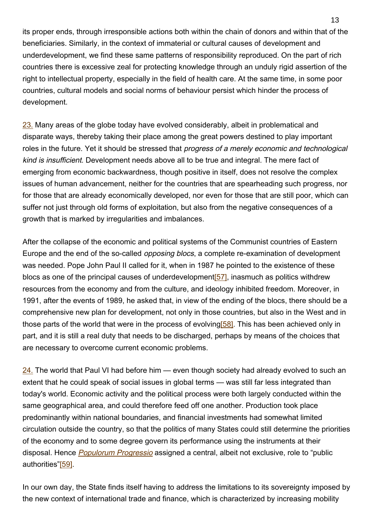its proper ends, through irresponsible actions both within the chain of donors and within that of the beneficiaries. Similarly, in the context of immaterial or cultural causes of development and underdevelopment, we find these same patterns of responsibility reproduced. On the part of rich countries there is excessive zeal for protecting knowledge through an unduly rigid assertion of the right to intellectual property, especially in the field of health care. At the same time, in some poor countries, cultural models and social norms of behaviour persist which hinder the process of development.

23. Many areas of the globe today have evolved considerably, albeit in problematical and disparate ways, thereby taking their place among the great powers destined to play important roles in the future. Yet it should be stressed that *progress of a merely economic and technological* kind is insufficient. Development needs above all to be true and integral. The mere fact of emerging from economic backwardness, though positive in itself, does not resolve the complex issues of human advancement, neither for the countries that are spearheading such progress, nor for those that are already economically developed, nor even for those that are still poor, which can suffer not just through old forms of exploitation, but also from the negative consequences of a growth that is marked by irregularities and imbalances.

After the collapse of the economic and political systems of the Communist countries of Eastern Europe and the end of the so-called *opposing blocs*, a complete re-examination of development was needed. Pope John Paul II called for it, when in 1987 he pointed to the existence of these blocs as one of the principal causes of underdevelopment[57], inasmuch as politics withdrew resources from the economy and from the culture, and ideology inhibited freedom. Moreover, in 1991, after the events of 1989, he asked that, in view of the ending of the blocs, there should be a comprehensive new plan for development, not only in those countries, but also in the West and in those parts of the world that were in the process of evolving[58]. This has been achieved only in part, and it is still a real duty that needs to be discharged, perhaps by means of the choices that are necessary to overcome current economic problems.

24. The world that Paul VI had before him — even though society had already evolved to such an extent that he could speak of social issues in global terms — was still far less integrated than today's world. Economic activity and the political process were both largely conducted within the same geographical area, and could therefore feed off one another. Production took place predominantly within national boundaries, and financial investments had somewhat limited circulation outside the country, so that the politics of many States could still determine the priorities of the economy and to some degree govern its performance using the instruments at their disposal. Hence *[Populorum Progressio](http://w2.vatican.va/content/paul-vi/en/encyclicals/documents/hf_p-vi_enc_26031967_populorum.html)* assigned a central, albeit not exclusive, role to "public authorities"[59].

In our own day, the State finds itself having to address the limitations to its sovereignty imposed by the new context of international trade and finance, which is characterized by increasing mobility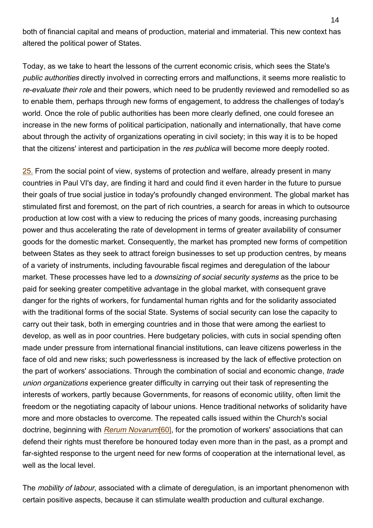both of financial capital and means of production, material and immaterial. This new context has altered the political power of States.

Today, as we take to heart the lessons of the current economic crisis, which sees the State's public authorities directly involved in correcting errors and malfunctions, it seems more realistic to re-evaluate their role and their powers, which need to be prudently reviewed and remodelled so as to enable them, perhaps through new forms of engagement, to address the challenges of today's world. Once the role of public authorities has been more clearly defined, one could foresee an increase in the new forms of political participation, nationally and internationally, that have come about through the activity of organizations operating in civil society; in this way it is to be hoped that the citizens' interest and participation in the res publica will become more deeply rooted.

25. From the social point of view, systems of protection and welfare, already present in many countries in Paul VI's day, are finding it hard and could find it even harder in the future to pursue their goals of true social justice in today's profoundly changed environment. The global market has stimulated first and foremost, on the part of rich countries, a search for areas in which to outsource production at low cost with a view to reducing the prices of many goods, increasing purchasing power and thus accelerating the rate of development in terms of greater availability of consumer goods for the domestic market. Consequently, the market has prompted new forms of competition between States as they seek to attract foreign businesses to set up production centres, by means of a variety of instruments, including favourable fiscal regimes and deregulation of the labour market. These processes have led to a *downsizing of social security systems* as the price to be paid for seeking greater competitive advantage in the global market, with consequent grave danger for the rights of workers, for fundamental human rights and for the solidarity associated with the traditional forms of the social State. Systems of social security can lose the capacity to carry out their task, both in emerging countries and in those that were among the earliest to develop, as well as in poor countries. Here budgetary policies, with cuts in social spending often made under pressure from international financial institutions, can leave citizens powerless in the face of old and new risks; such powerlessness is increased by the lack of effective protection on the part of workers' associations. Through the combination of social and economic change, trade union organizations experience greater difficulty in carrying out their task of representing the interests of workers, partly because Governments, for reasons of economic utility, often limit the freedom or the negotiating capacity of labour unions. Hence traditional networks of solidarity have more and more obstacles to overcome. The repeated calls issued within the Church's social doctrine, beginning with *[Rerum Novarum](http://w2.vatican.va/content/leo-xiii/en/encyclicals/documents/hf_l-xiii_enc_15051891_rerum-novarum.html)*<sup>[60]</sup>, for the promotion of workers' associations that can defend their rights must therefore be honoured today even more than in the past, as a prompt and far-sighted response to the urgent need for new forms of cooperation at the international level, as well as the local level.

The *mobility of labour*, associated with a climate of deregulation, is an important phenomenon with certain positive aspects, because it can stimulate wealth production and cultural exchange.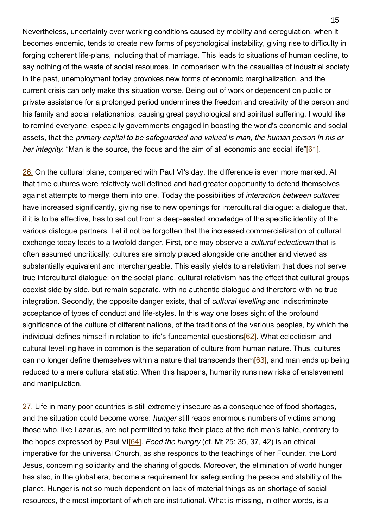Nevertheless, uncertainty over working conditions caused by mobility and deregulation, when it becomes endemic, tends to create new forms of psychological instability, giving rise to difficulty in forging coherent life-plans, including that of marriage. This leads to situations of human decline, to say nothing of the waste of social resources. In comparison with the casualties of industrial society in the past, unemployment today provokes new forms of economic marginalization, and the current crisis can only make this situation worse. Being out of work or dependent on public or private assistance for a prolonged period undermines the freedom and creativity of the person and his family and social relationships, causing great psychological and spiritual suffering. I would like to remind everyone, especially governments engaged in boosting the world's economic and social assets, that the primary capital to be safeguarded and valued is man, the human person in his or her integrity: "Man is the source, the focus and the aim of all economic and social life"[61].

26. On the cultural plane, compared with Paul VI's day, the difference is even more marked. At that time cultures were relatively well defined and had greater opportunity to defend themselves against attempts to merge them into one. Today the possibilities of *interaction between cultures* have increased significantly, giving rise to new openings for intercultural dialogue: a dialogue that, if it is to be effective, has to set out from a deep-seated knowledge of the specific identity of the various dialogue partners. Let it not be forgotten that the increased commercialization of cultural exchange today leads to a twofold danger. First, one may observe a *cultural eclecticism* that is often assumed uncritically: cultures are simply placed alongside one another and viewed as substantially equivalent and interchangeable. This easily yields to a relativism that does not serve true intercultural dialogue; on the social plane, cultural relativism has the effect that cultural groups coexist side by side, but remain separate, with no authentic dialogue and therefore with no true integration. Secondly, the opposite danger exists, that of cultural levelling and indiscriminate acceptance of types of conduct and life-styles. In this way one loses sight of the profound significance of the culture of different nations, of the traditions of the various peoples, by which the individual defines himself in relation to life's fundamental questions<sup>[62]</sup>. What eclecticism and cultural levelling have in common is the separation of culture from human nature. Thus, cultures can no longer define themselves within a nature that transcends them[63], and man ends up being reduced to a mere cultural statistic. When this happens, humanity runs new risks of enslavement and manipulation.

27. Life in many poor countries is still extremely insecure as a consequence of food shortages, and the situation could become worse: hunger still reaps enormous numbers of victims among those who, like Lazarus, are not permitted to take their place at the rich man's table, contrary to the hopes expressed by Paul VI $[64]$ . Feed the hungry (cf. Mt 25: 35, 37, 42) is an ethical imperative for the universal Church, as she responds to the teachings of her Founder, the Lord Jesus, concerning solidarity and the sharing of goods. Moreover, the elimination of world hunger has also, in the global era, become a requirement for safeguarding the peace and stability of the planet. Hunger is not so much dependent on lack of material things as on shortage of social resources, the most important of which are institutional. What is missing, in other words, is a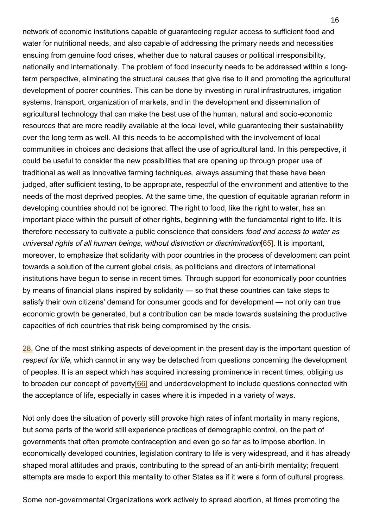network of economic institutions capable of guaranteeing regular access to sufficient food and water for nutritional needs, and also capable of addressing the primary needs and necessities ensuing from genuine food crises, whether due to natural causes or political irresponsibility, nationally and internationally. The problem of food insecurity needs to be addressed within a longterm perspective, eliminating the structural causes that give rise to it and promoting the agricultural development of poorer countries. This can be done by investing in rural infrastructures, irrigation systems, transport, organization of markets, and in the development and dissemination of agricultural technology that can make the best use of the human, natural and socio-economic resources that are more readily available at the local level, while guaranteeing their sustainability over the long term as well. All this needs to be accomplished with the involvement of local communities in choices and decisions that affect the use of agricultural land. In this perspective, it could be useful to consider the new possibilities that are opening up through proper use of traditional as well as innovative farming techniques, always assuming that these have been judged, after sufficient testing, to be appropriate, respectful of the environment and attentive to the needs of the most deprived peoples. At the same time, the question of equitable agrarian reform in developing countries should not be ignored. The right to food, like the right to water, has an important place within the pursuit of other rights, beginning with the fundamental right to life. It is therefore necessary to cultivate a public conscience that considers food and access to water as universal rights of all human beings, without distinction or discrimination<sup>[65]</sup>. It is important, moreover, to emphasize that solidarity with poor countries in the process of development can point towards a solution of the current global crisis, as politicians and directors of international institutions have begun to sense in recent times. Through support for economically poor countries by means of financial plans inspired by solidarity — so that these countries can take steps to satisfy their own citizens' demand for consumer goods and for development — not only can true economic growth be generated, but a contribution can be made towards sustaining the productive capacities of rich countries that risk being compromised by the crisis.

28. One of the most striking aspects of development in the present day is the important question of respect for life, which cannot in any way be detached from questions concerning the development of peoples. It is an aspect which has acquired increasing prominence in recent times, obliging us to broaden our concept of poverty[66] and underdevelopment to include questions connected with the acceptance of life, especially in cases where it is impeded in a variety of ways.

Not only does the situation of poverty still provoke high rates of infant mortality in many regions, but some parts of the world still experience practices of demographic control, on the part of governments that often promote contraception and even go so far as to impose abortion. In economically developed countries, legislation contrary to life is very widespread, and it has already shaped moral attitudes and praxis, contributing to the spread of an anti-birth mentality; frequent attempts are made to export this mentality to other States as if it were a form of cultural progress.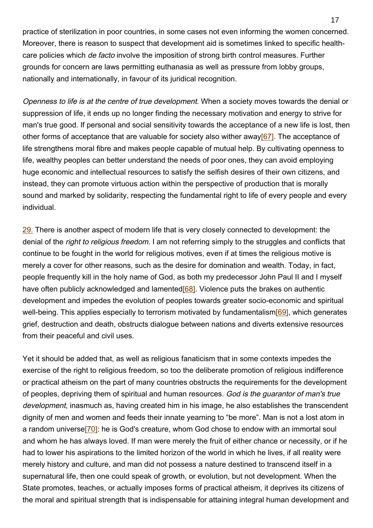practice of sterilization in poor countries, in some cases not even informing the women concerned. Moreover, there is reason to suspect that development aid is sometimes linked to specific healthcare policies which *de facto* involve the imposition of strong birth control measures. Further grounds for concern are laws permitting euthanasia as well as pressure from lobby groups, nationally and internationally, in favour of its juridical recognition.

Openness to life is at the centre of true development. When a society moves towards the denial or suppression of life, it ends up no longer finding the necessary motivation and energy to strive for man's true good. If personal and social sensitivity towards the acceptance of a new life is lost, then other forms of acceptance that are valuable for society also wither away[67]. The acceptance of life strengthens moral fibre and makes people capable of mutual help. By cultivating openness to life, wealthy peoples can better understand the needs of poor ones, they can avoid employing huge economic and intellectual resources to satisfy the selfish desires of their own citizens, and instead, they can promote virtuous action within the perspective of production that is morally sound and marked by solidarity, respecting the fundamental right to life of every people and every individual.

29. There is another aspect of modern life that is very closely connected to development: the denial of the right to religious freedom. I am not referring simply to the struggles and conflicts that continue to be fought in the world for religious motives, even if at times the religious motive is merely a cover for other reasons, such as the desire for domination and wealth. Today, in fact, people frequently kill in the holy name of God, as both my predecessor John Paul II and I myself have often publicly acknowledged and lamented<sup>[68]</sup>. Violence puts the brakes on authentic development and impedes the evolution of peoples towards greater socio-economic and spiritual well-being. This applies especially to terrorism motivated by fundamentalism<sup>[69]</sup>, which generates grief, destruction and death, obstructs dialogue between nations and diverts extensive resources from their peaceful and civil uses.

Yet it should be added that, as well as religious fanaticism that in some contexts impedes the exercise of the right to religious freedom, so too the deliberate promotion of religious indifference or practical atheism on the part of many countries obstructs the requirements for the development of peoples, depriving them of spiritual and human resources. God is the guarantor of man's true development, inasmuch as, having created him in his image, he also establishes the transcendent dignity of men and women and feeds their innate yearning to "be more". Man is not a lost atom in a random universe[70]: he is God's creature, whom God chose to endow with an immortal soul and whom he has always loved. If man were merely the fruit of either chance or necessity, or if he had to lower his aspirations to the limited horizon of the world in which he lives, if all reality were merely history and culture, and man did not possess a nature destined to transcend itself in a supernatural life, then one could speak of growth, or evolution, but not development. When the State promotes, teaches, or actually imposes forms of practical atheism, it deprives its citizens of the moral and spiritual strength that is indispensable for attaining integral human development and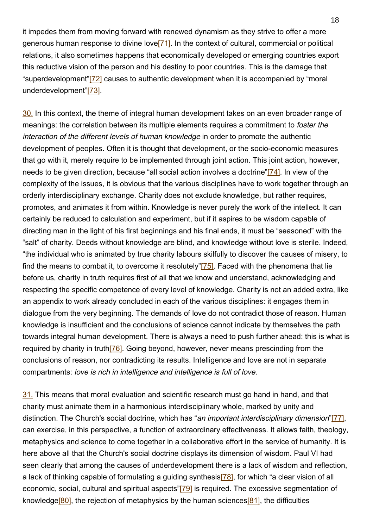it impedes them from moving forward with renewed dynamism as they strive to offer a more generous human response to divine love[71]. In the context of cultural, commercial or political relations, it also sometimes happens that economically developed or emerging countries export this reductive vision of the person and his destiny to poor countries. This is the damage that "superdevelopment"[72] causes to authentic development when it is accompanied by "moral underdevelopment"[73].

30. In this context, the theme of integral human development takes on an even broader range of meanings: the correlation between its multiple elements requires a commitment to *foster the* interaction of the different levels of human knowledge in order to promote the authentic development of peoples. Often it is thought that development, or the socio-economic measures that go with it, merely require to be implemented through joint action. This joint action, however, needs to be given direction, because "all social action involves a doctrine"[74]. In view of the complexity of the issues, it is obvious that the various disciplines have to work together through an orderly interdisciplinary exchange. Charity does not exclude knowledge, but rather requires, promotes, and animates it from within. Knowledge is never purely the work of the intellect. It can certainly be reduced to calculation and experiment, but if it aspires to be wisdom capable of directing man in the light of his first beginnings and his final ends, it must be "seasoned" with the "salt" of charity. Deeds without knowledge are blind, and knowledge without love is sterile. Indeed, "the individual who is animated by true charity labours skilfully to discover the causes of misery, to find the means to combat it, to overcome it resolutely" $[75]$ . Faced with the phenomena that lie before us, charity in truth requires first of all that we know and understand, acknowledging and respecting the specific competence of every level of knowledge. Charity is not an added extra, like an appendix to work already concluded in each of the various disciplines: it engages them in dialogue from the very beginning. The demands of love do not contradict those of reason. Human knowledge is insufficient and the conclusions of science cannot indicate by themselves the path towards integral human development. There is always a need to push further ahead: this is what is required by charity in truth<sup>[76]</sup>. Going beyond, however, never means prescinding from the conclusions of reason, nor contradicting its results. Intelligence and love are not in separate compartments: love is rich in intelligence and intelligence is full of love.

31. This means that moral evaluation and scientific research must go hand in hand, and that charity must animate them in a harmonious interdisciplinary whole, marked by unity and distinction. The Church's social doctrine, which has "an important interdisciplinary dimension"[77], can exercise, in this perspective, a function of extraordinary effectiveness. It allows faith, theology, metaphysics and science to come together in a collaborative effort in the service of humanity. It is here above all that the Church's social doctrine displays its dimension of wisdom. Paul VI had seen clearly that among the causes of underdevelopment there is a lack of wisdom and reflection, a lack of thinking capable of formulating a guiding synthesis<sup>[78]</sup>, for which "a clear vision of all economic, social, cultural and spiritual aspects"[79] is required. The excessive segmentation of knowledge<sup>[80]</sup>, the rejection of metaphysics by the human sciences<sup>[81]</sup>, the difficulties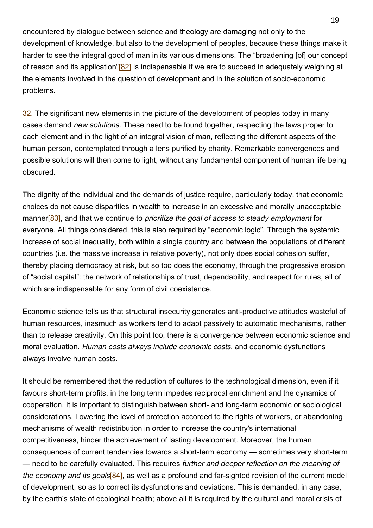encountered by dialogue between science and theology are damaging not only to the development of knowledge, but also to the development of peoples, because these things make it harder to see the integral good of man in its various dimensions. The "broadening [of] our concept of reason and its application"[82] is indispensable if we are to succeed in adequately weighing all the elements involved in the question of development and in the solution of socio-economic problems.

32. The significant new elements in the picture of the development of peoples today in many cases demand new solutions. These need to be found together, respecting the laws proper to each element and in the light of an integral vision of man, reflecting the different aspects of the human person, contemplated through a lens purified by charity. Remarkable convergences and possible solutions will then come to light, without any fundamental component of human life being obscured.

The dignity of the individual and the demands of justice require, particularly today, that economic choices do not cause disparities in wealth to increase in an excessive and morally unacceptable manner<sup>[83]</sup>, and that we continue to *prioritize the goal of access to steady employment* for everyone. All things considered, this is also required by "economic logic". Through the systemic increase of social inequality, both within a single country and between the populations of different countries (i.e. the massive increase in relative poverty), not only does social cohesion suffer, thereby placing democracy at risk, but so too does the economy, through the progressive erosion of "social capital": the network of relationships of trust, dependability, and respect for rules, all of which are indispensable for any form of civil coexistence.

Economic science tells us that structural insecurity generates anti-productive attitudes wasteful of human resources, inasmuch as workers tend to adapt passively to automatic mechanisms, rather than to release creativity. On this point too, there is a convergence between economic science and moral evaluation. Human costs always include economic costs, and economic dysfunctions always involve human costs.

It should be remembered that the reduction of cultures to the technological dimension, even if it favours short-term profits, in the long term impedes reciprocal enrichment and the dynamics of cooperation. It is important to distinguish between short- and long-term economic or sociological considerations. Lowering the level of protection accorded to the rights of workers, or abandoning mechanisms of wealth redistribution in order to increase the country's international competitiveness, hinder the achievement of lasting development. Moreover, the human consequences of current tendencies towards a short-term economy — sometimes very short-term — need to be carefully evaluated. This requires further and deeper reflection on the meaning of the economy and its goals [84], as well as a profound and far-sighted revision of the current model of development, so as to correct its dysfunctions and deviations. This is demanded, in any case, by the earth's state of ecological health; above all it is required by the cultural and moral crisis of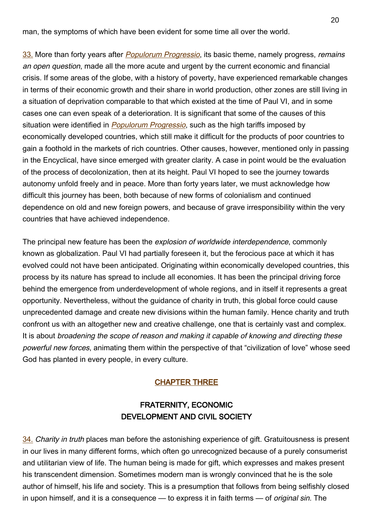man, the symptoms of which have been evident for some time all over the world.

33. More than forty years after *[Populorum Progressio](http://w2.vatican.va/content/paul-vi/en/encyclicals/documents/hf_p-vi_enc_26031967_populorum.html)*, its basic theme, namely progress, *remains* an open question, made all the more acute and urgent by the current economic and financial crisis. If some areas of the globe, with a history of poverty, have experienced remarkable changes in terms of their economic growth and their share in world production, other zones are still living in a situation of deprivation comparable to that which existed at the time of Paul VI, and in some cases one can even speak of a deterioration. It is significant that some of the causes of this situation were identified in *[Populorum Progressio](http://w2.vatican.va/content/paul-vi/en/encyclicals/documents/hf_p-vi_enc_26031967_populorum.html)*, such as the high tariffs imposed by economically developed countries, which still make it difficult for the products of poor countries to gain a foothold in the markets of rich countries. Other causes, however, mentioned only in passing in the Encyclical, have since emerged with greater clarity. A case in point would be the evaluation of the process of decolonization, then at its height. Paul VI hoped to see the journey towards autonomy unfold freely and in peace. More than forty years later, we must acknowledge how difficult this journey has been, both because of new forms of colonialism and continued dependence on old and new foreign powers, and because of grave irresponsibility within the very countries that have achieved independence.

The principal new feature has been the explosion of worldwide interdependence, commonly known as globalization. Paul VI had partially foreseen it, but the ferocious pace at which it has evolved could not have been anticipated. Originating within economically developed countries, this process by its nature has spread to include all economies. It has been the principal driving force behind the emergence from underdevelopment of whole regions, and in itself it represents a great opportunity. Nevertheless, without the guidance of charity in truth, this global force could cause unprecedented damage and create new divisions within the human family. Hence charity and truth confront us with an altogether new and creative challenge, one that is certainly vast and complex. It is about broadening the scope of reason and making it capable of knowing and directing these powerful new forces, animating them within the perspective of that "civilization of love" whose seed God has planted in every people, in every culture.

## CHAPTER THREE

# FRATERNITY, ECONOMIC DEVELOPMENT AND CIVIL SOCIETY

34. Charity in truth places man before the astonishing experience of gift. Gratuitousness is present in our lives in many different forms, which often go unrecognized because of a purely consumerist and utilitarian view of life. The human being is made for gift, which expresses and makes present his transcendent dimension. Sometimes modern man is wrongly convinced that he is the sole author of himself, his life and society. This is a presumption that follows from being selfishly closed in upon himself, and it is a consequence — to express it in faith terms — of *original sin*. The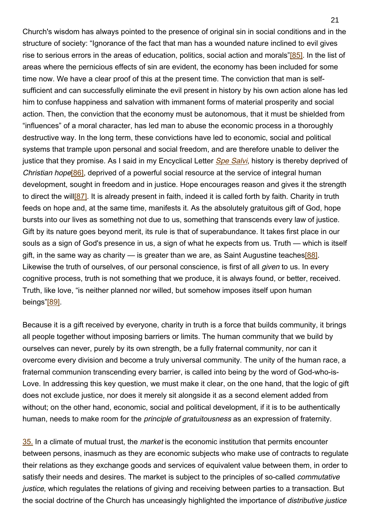Church's wisdom has always pointed to the presence of original sin in social conditions and in the structure of society: "Ignorance of the fact that man has a wounded nature inclined to evil gives rise to serious errors in the areas of education, politics, social action and morals"[85]. In the list of areas where the pernicious effects of sin are evident, the economy has been included for some time now. We have a clear proof of this at the present time. The conviction that man is selfsufficient and can successfully eliminate the evil present in history by his own action alone has led him to confuse happiness and salvation with immanent forms of material prosperity and social action. Then, the conviction that the economy must be autonomous, that it must be shielded from "influences" of a moral character, has led man to abuse the economic process in a thoroughly destructive way. In the long term, these convictions have led to economic, social and political systems that trample upon personal and social freedom, and are therefore unable to deliver the justice that they promise. As I said in my Encyclical Letter [Spe Salvi](http://w2.vatican.va/content/benedict-xvi/en/encyclicals/documents/hf_ben-xvi_enc_20071130_spe-salvi.html), history is thereby deprived of Christian hope<sup>[86]</sup>, deprived of a powerful social resource at the service of integral human development, sought in freedom and in justice. Hope encourages reason and gives it the strength to direct the will[87]. It is already present in faith, indeed it is called forth by faith. Charity in truth feeds on hope and, at the same time, manifests it. As the absolutely gratuitous gift of God, hope bursts into our lives as something not due to us, something that transcends every law of justice. Gift by its nature goes beyond merit, its rule is that of superabundance. It takes first place in our souls as a sign of God's presence in us, a sign of what he expects from us. Truth — which is itself gift, in the same way as charity — is greater than we are, as Saint Augustine teaches<sup>[88]</sup>. Likewise the truth of ourselves, of our personal conscience, is first of all *given* to us. In every cognitive process, truth is not something that we produce, it is always found, or better, received. Truth, like love, "is neither planned nor willed, but somehow imposes itself upon human beings"[89].

Because it is a gift received by everyone, charity in truth is a force that builds community, it brings all people together without imposing barriers or limits. The human community that we build by ourselves can never, purely by its own strength, be a fully fraternal community, nor can it overcome every division and become a truly universal community. The unity of the human race, a fraternal communion transcending every barrier, is called into being by the word of God-who-is-Love. In addressing this key question, we must make it clear, on the one hand, that the logic of gift does not exclude justice, nor does it merely sit alongside it as a second element added from without; on the other hand, economic, social and political development, if it is to be authentically human, needs to make room for the *principle of gratuitousness* as an expression of fraternity.

35. In a climate of mutual trust, the *market* is the economic institution that permits encounter between persons, inasmuch as they are economic subjects who make use of contracts to regulate their relations as they exchange goods and services of equivalent value between them, in order to satisfy their needs and desires. The market is subject to the principles of so-called *commutative* justice, which regulates the relations of giving and receiving between parties to a transaction. But the social doctrine of the Church has unceasingly highlighted the importance of distributive justice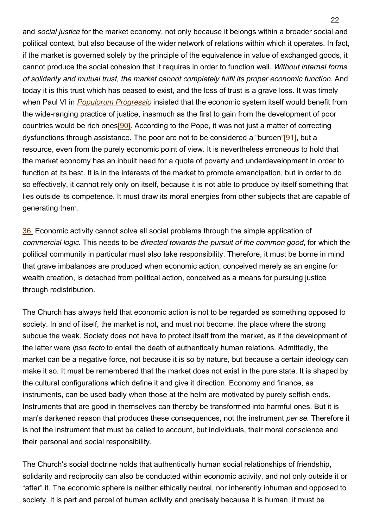and *social justice* for the market economy, not only because it belongs within a broader social and political context, but also because of the wider network of relations within which it operates. In fact, if the market is governed solely by the principle of the equivalence in value of exchanged goods, it cannot produce the social cohesion that it requires in order to function well. Without internal forms of solidarity and mutual trust, the market cannot completely fulfil its proper economic function. And today it is this trust which has ceased to exist, and the loss of trust is a grave loss. It was timely when Paul VI in *[Populorum Progressio](http://w2.vatican.va/content/paul-vi/en/encyclicals/documents/hf_p-vi_enc_26031967_populorum.html)* insisted that the economic system itself would benefit from the wide-ranging practice of justice, inasmuch as the first to gain from the development of poor countries would be rich ones[90]. According to the Pope, it was not just a matter of correcting dysfunctions through assistance. The poor are not to be considered a "burden"[91], but a resource, even from the purely economic point of view. It is nevertheless erroneous to hold that the market economy has an inbuilt need for a quota of poverty and underdevelopment in order to function at its best. It is in the interests of the market to promote emancipation, but in order to do so effectively, it cannot rely only on itself, because it is not able to produce by itself something that lies outside its competence. It must draw its moral energies from other subjects that are capable of generating them.

36. Economic activity cannot solve all social problems through the simple application of commercial logic. This needs to be directed towards the pursuit of the common good, for which the political community in particular must also take responsibility. Therefore, it must be borne in mind that grave imbalances are produced when economic action, conceived merely as an engine for wealth creation, is detached from political action, conceived as a means for pursuing justice through redistribution.

The Church has always held that economic action is not to be regarded as something opposed to society. In and of itself, the market is not, and must not become, the place where the strong subdue the weak. Society does not have to protect itself from the market, as if the development of the latter were ipso facto to entail the death of authentically human relations. Admittedly, the market can be a negative force, not because it is so by nature, but because a certain ideology can make it so. It must be remembered that the market does not exist in the pure state. It is shaped by the cultural configurations which define it and give it direction. Economy and finance, as instruments, can be used badly when those at the helm are motivated by purely selfish ends. Instruments that are good in themselves can thereby be transformed into harmful ones. But it is man's darkened reason that produces these consequences, not the instrument per se. Therefore it is not the instrument that must be called to account, but individuals, their moral conscience and their personal and social responsibility.

The Church's social doctrine holds that authentically human social relationships of friendship, solidarity and reciprocity can also be conducted within economic activity, and not only outside it or "after" it. The economic sphere is neither ethically neutral, nor inherently inhuman and opposed to society. It is part and parcel of human activity and precisely because it is human, it must be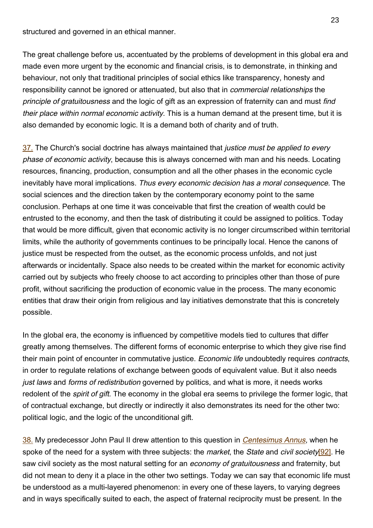structured and governed in an ethical manner.

The great challenge before us, accentuated by the problems of development in this global era and made even more urgent by the economic and financial crisis, is to demonstrate, in thinking and behaviour, not only that traditional principles of social ethics like transparency, honesty and responsibility cannot be ignored or attenuated, but also that in commercial relationships the principle of gratuitousness and the logic of gift as an expression of fraternity can and must find their place within normal economic activity. This is a human demand at the present time, but it is also demanded by economic logic. It is a demand both of charity and of truth.

37. The Church's social doctrine has always maintained that *justice must be applied to every* phase of economic activity, because this is always concerned with man and his needs. Locating resources, financing, production, consumption and all the other phases in the economic cycle inevitably have moral implications. Thus every economic decision has a moral consequence. The social sciences and the direction taken by the contemporary economy point to the same conclusion. Perhaps at one time it was conceivable that first the creation of wealth could be entrusted to the economy, and then the task of distributing it could be assigned to politics. Today that would be more difficult, given that economic activity is no longer circumscribed within territorial limits, while the authority of governments continues to be principally local. Hence the canons of justice must be respected from the outset, as the economic process unfolds, and not just afterwards or incidentally. Space also needs to be created within the market for economic activity carried out by subjects who freely choose to act according to principles other than those of pure profit, without sacrificing the production of economic value in the process. The many economic entities that draw their origin from religious and lay initiatives demonstrate that this is concretely possible.

In the global era, the economy is influenced by competitive models tied to cultures that differ greatly among themselves. The different forms of economic enterprise to which they give rise find their main point of encounter in commutative justice. Economic life undoubtedly requires contracts, in order to regulate relations of exchange between goods of equivalent value. But it also needs just laws and forms of redistribution governed by politics, and what is more, it needs works redolent of the *spirit of gift*. The economy in the global era seems to privilege the former logic, that of contractual exchange, but directly or indirectly it also demonstrates its need for the other two: political logic, and the logic of the unconditional gift.

38. My predecessor John Paul II drew attention to this question in *[Centesimus Annus](http://w2.vatican.va/content/john-paul-ii/en/encyclicals/documents/hf_jp-ii_enc_01051991_centesimus-annus.html)*, when he spoke of the need for a system with three subjects: the *market*, the *State* and *civil society*<sup>[92]</sup>. He saw civil society as the most natural setting for an economy of gratuitousness and fraternity, but did not mean to deny it a place in the other two settings. Today we can say that economic life must be understood as a multi-layered phenomenon: in every one of these layers, to varying degrees and in ways specifically suited to each, the aspect of fraternal reciprocity must be present. In the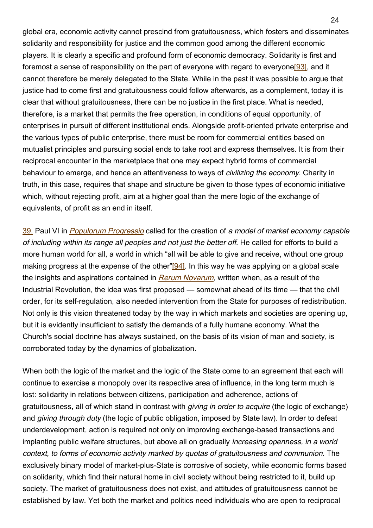global era, economic activity cannot prescind from gratuitousness, which fosters and disseminates solidarity and responsibility for justice and the common good among the different economic players. It is clearly a specific and profound form of economic democracy. Solidarity is first and foremost a sense of responsibility on the part of everyone with regard to everyone[93], and it cannot therefore be merely delegated to the State. While in the past it was possible to argue that justice had to come first and gratuitousness could follow afterwards, as a complement, today it is clear that without gratuitousness, there can be no justice in the first place. What is needed, therefore, is a market that permits the free operation, in conditions of equal opportunity, of enterprises in pursuit of different institutional ends. Alongside profit-oriented private enterprise and the various types of public enterprise, there must be room for commercial entities based on mutualist principles and pursuing social ends to take root and express themselves. It is from their reciprocal encounter in the marketplace that one may expect hybrid forms of commercial behaviour to emerge, and hence an attentiveness to ways of *civilizing the economy*. Charity in truth, in this case, requires that shape and structure be given to those types of economic initiative which, without rejecting profit, aim at a higher goal than the mere logic of the exchange of equivalents, of profit as an end in itself.

39. Paul VI in [Populorum Progressio](http://w2.vatican.va/content/paul-vi/en/encyclicals/documents/hf_p-vi_enc_26031967_populorum.html) called for the creation of a model of market economy capable of including within its range all peoples and not just the better off. He called for efforts to build a more human world for all, a world in which "all will be able to give and receive, without one group making progress at the expense of the other"[94]. In this way he was applying on a global scale the insights and aspirations contained in [Rerum Novarum](http://w2.vatican.va/content/leo-xiii/en/encyclicals/documents/hf_l-xiii_enc_15051891_rerum-novarum.html), written when, as a result of the Industrial Revolution, the idea was first proposed — somewhat ahead of its time — that the civil order, for its self-regulation, also needed intervention from the State for purposes of redistribution. Not only is this vision threatened today by the way in which markets and societies are opening up, but it is evidently insufficient to satisfy the demands of a fully humane economy. What the Church's social doctrine has always sustained, on the basis of its vision of man and society, is corroborated today by the dynamics of globalization.

When both the logic of the market and the logic of the State come to an agreement that each will continue to exercise a monopoly over its respective area of influence, in the long term much is lost: solidarity in relations between citizens, participation and adherence, actions of gratuitousness, all of which stand in contrast with *giving in order to acquire* (the logic of exchange) and *giving through duty* (the logic of public obligation, imposed by State law). In order to defeat underdevelopment, action is required not only on improving exchange-based transactions and implanting public welfare structures, but above all on gradually *increasing openness, in a world* context, to forms of economic activity marked by quotas of gratuitousness and communion. The exclusively binary model of market-plus-State is corrosive of society, while economic forms based on solidarity, which find their natural home in civil society without being restricted to it, build up society. The market of gratuitousness does not exist, and attitudes of gratuitousness cannot be established by law. Yet both the market and politics need individuals who are open to reciprocal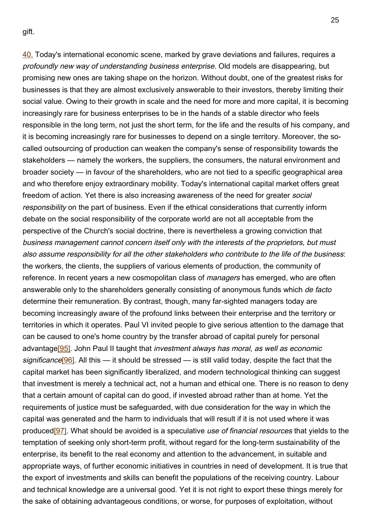gift.

40. Today's international economic scene, marked by grave deviations and failures, requires a profoundly new way of understanding business enterprise. Old models are disappearing, but promising new ones are taking shape on the horizon. Without doubt, one of the greatest risks for businesses is that they are almost exclusively answerable to their investors, thereby limiting their social value. Owing to their growth in scale and the need for more and more capital, it is becoming increasingly rare for business enterprises to be in the hands of a stable director who feels responsible in the long term, not just the short term, for the life and the results of his company, and it is becoming increasingly rare for businesses to depend on a single territory. Moreover, the socalled outsourcing of production can weaken the company's sense of responsibility towards the stakeholders — namely the workers, the suppliers, the consumers, the natural environment and broader society — in favour of the shareholders, who are not tied to a specific geographical area and who therefore enjoy extraordinary mobility. Today's international capital market offers great freedom of action. Yet there is also increasing awareness of the need for greater *social* responsibility on the part of business. Even if the ethical considerations that currently inform debate on the social responsibility of the corporate world are not all acceptable from the perspective of the Church's social doctrine, there is nevertheless a growing conviction that business management cannot concern itself only with the interests of the proprietors, but must also assume responsibility for all the other stakeholders who contribute to the life of the business: the workers, the clients, the suppliers of various elements of production, the community of reference. In recent years a new cosmopolitan class of managers has emerged, who are often answerable only to the shareholders generally consisting of anonymous funds which de facto determine their remuneration. By contrast, though, many far-sighted managers today are becoming increasingly aware of the profound links between their enterprise and the territory or territories in which it operates. Paul VI invited people to give serious attention to the damage that can be caused to one's home country by the transfer abroad of capital purely for personal advantage<sup>[95]</sup>. John Paul II taught that *investment always has moral, as well as economic* significance[96]. All this — it should be stressed — is still valid today, despite the fact that the capital market has been significantly liberalized, and modern technological thinking can suggest that investment is merely a technical act, not a human and ethical one. There is no reason to deny that a certain amount of capital can do good, if invested abroad rather than at home. Yet the requirements of justice must be safeguarded, with due consideration for the way in which the capital was generated and the harm to individuals that will result if it is not used where it was produced<sup>[97]</sup>. What should be avoided is a speculative use of financial resources that yields to the temptation of seeking only short-term profit, without regard for the long-term sustainability of the enterprise, its benefit to the real economy and attention to the advancement, in suitable and appropriate ways, of further economic initiatives in countries in need of development. It is true that the export of investments and skills can benefit the populations of the receiving country. Labour and technical knowledge are a universal good. Yet it is not right to export these things merely for the sake of obtaining advantageous conditions, or worse, for purposes of exploitation, without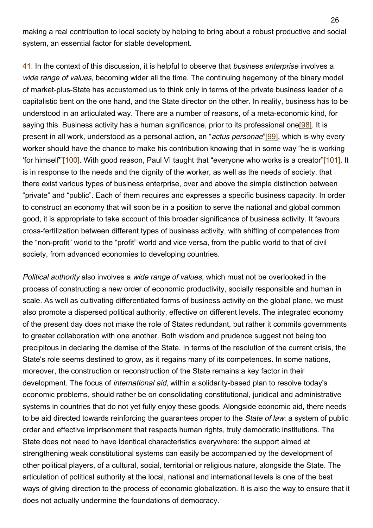making a real contribution to local society by helping to bring about a robust productive and social system, an essential factor for stable development.

41. In the context of this discussion, it is helpful to observe that *business enterprise* involves a wide range of values, becoming wider all the time. The continuing hegemony of the binary model of market-plus-State has accustomed us to think only in terms of the private business leader of a capitalistic bent on the one hand, and the State director on the other. In reality, business has to be understood in an articulated way. There are a number of reasons, of a meta-economic kind, for saying this. Business activity has a human significance, prior to its professional one<sup>[98]</sup>. It is present in all work, understood as a personal action, an "*actus personae*"[99], which is why every worker should have the chance to make his contribution knowing that in some way "he is working 'for himself'"[100]. With good reason, Paul VI taught that "everyone who works is a creator"[101]. It is in response to the needs and the dignity of the worker, as well as the needs of society, that there exist various types of business enterprise, over and above the simple distinction between "private" and "public". Each of them requires and expresses a specific business capacity. In order to construct an economy that will soon be in a position to serve the national and global common good, it is appropriate to take account of this broader significance of business activity. It favours cross-fertilization between different types of business activity, with shifting of competences from the "non-profit" world to the "profit" world and vice versa, from the public world to that of civil society, from advanced economies to developing countries.

Political authority also involves a wide range of values, which must not be overlooked in the process of constructing a new order of economic productivity, socially responsible and human in scale. As well as cultivating differentiated forms of business activity on the global plane, we must also promote a dispersed political authority, effective on different levels. The integrated economy of the present day does not make the role of States redundant, but rather it commits governments to greater collaboration with one another. Both wisdom and prudence suggest not being too precipitous in declaring the demise of the State. In terms of the resolution of the current crisis, the State's role seems destined to grow, as it regains many of its competences. In some nations, moreover, the construction or reconstruction of the State remains a key factor in their development. The focus of international aid, within a solidarity-based plan to resolve today's economic problems, should rather be on consolidating constitutional, juridical and administrative systems in countries that do not yet fully enjoy these goods. Alongside economic aid, there needs to be aid directed towards reinforcing the guarantees proper to the *State of law*: a system of public order and effective imprisonment that respects human rights, truly democratic institutions. The State does not need to have identical characteristics everywhere: the support aimed at strengthening weak constitutional systems can easily be accompanied by the development of other political players, of a cultural, social, territorial or religious nature, alongside the State. The articulation of political authority at the local, national and international levels is one of the best ways of giving direction to the process of economic globalization. It is also the way to ensure that it does not actually undermine the foundations of democracy.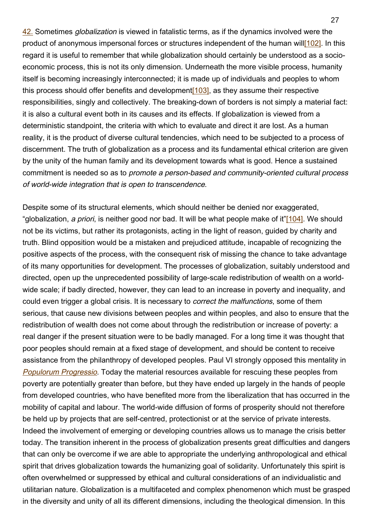42. Sometimes *globalization* is viewed in fatalistic terms, as if the dynamics involved were the product of anonymous impersonal forces or structures independent of the human will [102]. In this regard it is useful to remember that while globalization should certainly be understood as a socioeconomic process, this is not its only dimension. Underneath the more visible process, humanity itself is becoming increasingly interconnected; it is made up of individuals and peoples to whom this process should offer benefits and development  $[103]$ , as they assume their respective responsibilities, singly and collectively. The breaking-down of borders is not simply a material fact: it is also a cultural event both in its causes and its effects. If globalization is viewed from a deterministic standpoint, the criteria with which to evaluate and direct it are lost. As a human reality, it is the product of diverse cultural tendencies, which need to be subjected to a process of discernment. The truth of globalization as a process and its fundamental ethical criterion are given by the unity of the human family and its development towards what is good. Hence a sustained commitment is needed so as to promote a person-based and community-oriented cultural process of world-wide integration that is open to transcendence.

Despite some of its structural elements, which should neither be denied nor exaggerated, "globalization, a priori, is neither good nor bad. It will be what people make of it"[104]. We should not be its victims, but rather its protagonists, acting in the light of reason, guided by charity and truth. Blind opposition would be a mistaken and prejudiced attitude, incapable of recognizing the positive aspects of the process, with the consequent risk of missing the chance to take advantage of its many opportunities for development. The processes of globalization, suitably understood and directed, open up the unprecedented possibility of large-scale redistribution of wealth on a worldwide scale; if badly directed, however, they can lead to an increase in poverty and inequality, and could even trigger a global crisis. It is necessary to *correct the malfunctions*, some of them serious, that cause new divisions between peoples and within peoples, and also to ensure that the redistribution of wealth does not come about through the redistribution or increase of poverty: a real danger if the present situation were to be badly managed. For a long time it was thought that poor peoples should remain at a fixed stage of development, and should be content to receive assistance from the philanthropy of developed peoples. Paul VI strongly opposed this mentality in **[Populorum Progressio](http://w2.vatican.va/content/paul-vi/en/encyclicals/documents/hf_p-vi_enc_26031967_populorum.html)**. Today the material resources available for rescuing these peoples from poverty are potentially greater than before, but they have ended up largely in the hands of people from developed countries, who have benefited more from the liberalization that has occurred in the mobility of capital and labour. The world-wide diffusion of forms of prosperity should not therefore be held up by projects that are self-centred, protectionist or at the service of private interests. Indeed the involvement of emerging or developing countries allows us to manage the crisis better today. The transition inherent in the process of globalization presents great difficulties and dangers that can only be overcome if we are able to appropriate the underlying anthropological and ethical spirit that drives globalization towards the humanizing goal of solidarity. Unfortunately this spirit is often overwhelmed or suppressed by ethical and cultural considerations of an individualistic and utilitarian nature. Globalization is a multifaceted and complex phenomenon which must be grasped in the diversity and unity of all its different dimensions, including the theological dimension. In this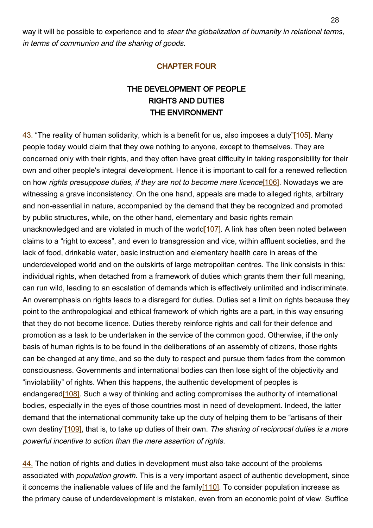way it will be possible to experience and to *steer the globalization of humanity in relational terms*, in terms of communion and the sharing of goods.

#### CHAPTER FOUR

# THE DEVELOPMENT OF PEOPLE RIGHTS AND DUTIES THE ENVIRONMENT

43. "The reality of human solidarity, which is a benefit for us, also imposes a duty"[105]. Many people today would claim that they owe nothing to anyone, except to themselves. They are concerned only with their rights, and they often have great difficulty in taking responsibility for their own and other people's integral development. Hence it is important to call for a renewed reflection on how rights presuppose duties, if they are not to become mere licence<sup>[106]</sup>. Nowadays we are witnessing a grave inconsistency. On the one hand, appeals are made to alleged rights, arbitrary and non-essential in nature, accompanied by the demand that they be recognized and promoted by public structures, while, on the other hand, elementary and basic rights remain unacknowledged and are violated in much of the world[107]. A link has often been noted between claims to a "right to excess", and even to transgression and vice, within affluent societies, and the lack of food, drinkable water, basic instruction and elementary health care in areas of the underdeveloped world and on the outskirts of large metropolitan centres. The link consists in this: individual rights, when detached from a framework of duties which grants them their full meaning, can run wild, leading to an escalation of demands which is effectively unlimited and indiscriminate. An overemphasis on rights leads to a disregard for duties. Duties set a limit on rights because they point to the anthropological and ethical framework of which rights are a part, in this way ensuring that they do not become licence. Duties thereby reinforce rights and call for their defence and promotion as a task to be undertaken in the service of the common good. Otherwise, if the only basis of human rights is to be found in the deliberations of an assembly of citizens, those rights can be changed at any time, and so the duty to respect and pursue them fades from the common consciousness. Governments and international bodies can then lose sight of the objectivity and "inviolability" of rights. When this happens, the authentic development of peoples is endangered<sup>[108]</sup>. Such a way of thinking and acting compromises the authority of international bodies, especially in the eyes of those countries most in need of development. Indeed, the latter demand that the international community take up the duty of helping them to be "artisans of their own destiny"<sup>[109]</sup>, that is, to take up duties of their own. The sharing of reciprocal duties is a more powerful incentive to action than the mere assertion of rights.

44. The notion of rights and duties in development must also take account of the problems associated with *population growth*. This is a very important aspect of authentic development, since it concerns the inalienable values of life and the family $[110]$ . To consider population increase as the primary cause of underdevelopment is mistaken, even from an economic point of view. Suffice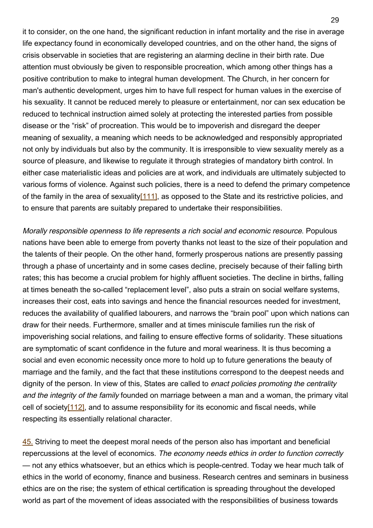it to consider, on the one hand, the significant reduction in infant mortality and the rise in average life expectancy found in economically developed countries, and on the other hand, the signs of crisis observable in societies that are registering an alarming decline in their birth rate. Due attention must obviously be given to responsible procreation, which among other things has a positive contribution to make to integral human development. The Church, in her concern for man's authentic development, urges him to have full respect for human values in the exercise of his sexuality. It cannot be reduced merely to pleasure or entertainment, nor can sex education be reduced to technical instruction aimed solely at protecting the interested parties from possible disease or the "risk" of procreation. This would be to impoverish and disregard the deeper meaning of sexuality, a meaning which needs to be acknowledged and responsibly appropriated not only by individuals but also by the community. It is irresponsible to view sexuality merely as a source of pleasure, and likewise to regulate it through strategies of mandatory birth control. In either case materialistic ideas and policies are at work, and individuals are ultimately subjected to various forms of violence. Against such policies, there is a need to defend the primary competence of the family in the area of sexuality<sup>[111]</sup>, as opposed to the State and its restrictive policies, and to ensure that parents are suitably prepared to undertake their responsibilities.

Morally responsible openness to life represents a rich social and economic resource. Populous nations have been able to emerge from poverty thanks not least to the size of their population and the talents of their people. On the other hand, formerly prosperous nations are presently passing through a phase of uncertainty and in some cases decline, precisely because of their falling birth rates; this has become a crucial problem for highly affluent societies. The decline in births, falling at times beneath the so-called "replacement level", also puts a strain on social welfare systems, increases their cost, eats into savings and hence the financial resources needed for investment, reduces the availability of qualified labourers, and narrows the "brain pool" upon which nations can draw for their needs. Furthermore, smaller and at times miniscule families run the risk of impoverishing social relations, and failing to ensure effective forms of solidarity. These situations are symptomatic of scant confidence in the future and moral weariness. It is thus becoming a social and even economic necessity once more to hold up to future generations the beauty of marriage and the family, and the fact that these institutions correspond to the deepest needs and dignity of the person. In view of this, States are called to enact policies promoting the centrality and the integrity of the family founded on marriage between a man and a woman, the primary vital cell of society $[112]$ , and to assume responsibility for its economic and fiscal needs, while respecting its essentially relational character.

45. Striving to meet the deepest moral needs of the person also has important and beneficial repercussions at the level of economics. The economy needs ethics in order to function correctly — not any ethics whatsoever, but an ethics which is people-centred. Today we hear much talk of ethics in the world of economy, finance and business. Research centres and seminars in business ethics are on the rise; the system of ethical certification is spreading throughout the developed world as part of the movement of ideas associated with the responsibilities of business towards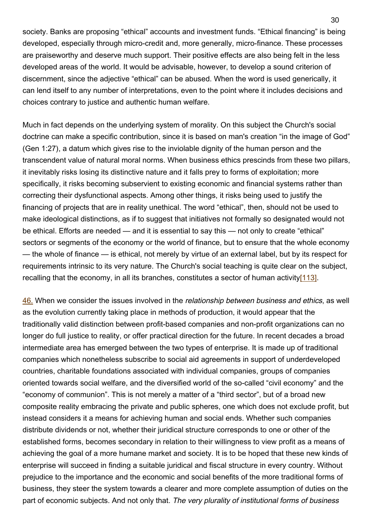society. Banks are proposing "ethical" accounts and investment funds. "Ethical financing" is being developed, especially through micro-credit and, more generally, micro-finance. These processes are praiseworthy and deserve much support. Their positive effects are also being felt in the less developed areas of the world. It would be advisable, however, to develop a sound criterion of discernment, since the adjective "ethical" can be abused. When the word is used generically, it can lend itself to any number of interpretations, even to the point where it includes decisions and choices contrary to justice and authentic human welfare.

Much in fact depends on the underlying system of morality. On this subject the Church's social doctrine can make a specific contribution, since it is based on man's creation "in the image of God" (Gen 1:27), a datum which gives rise to the inviolable dignity of the human person and the transcendent value of natural moral norms. When business ethics prescinds from these two pillars, it inevitably risks losing its distinctive nature and it falls prey to forms of exploitation; more specifically, it risks becoming subservient to existing economic and financial systems rather than correcting their dysfunctional aspects. Among other things, it risks being used to justify the financing of projects that are in reality unethical. The word "ethical", then, should not be used to make ideological distinctions, as if to suggest that initiatives not formally so designated would not be ethical. Efforts are needed — and it is essential to say this — not only to create "ethical" sectors or segments of the economy or the world of finance, but to ensure that the whole economy — the whole of finance — is ethical, not merely by virtue of an external label, but by its respect for requirements intrinsic to its very nature. The Church's social teaching is quite clear on the subject, recalling that the economy, in all its branches, constitutes a sector of human activity<sup>[113]</sup>.

46. When we consider the issues involved in the relationship between business and ethics, as well as the evolution currently taking place in methods of production, it would appear that the traditionally valid distinction between profit-based companies and non-profit organizations can no longer do full justice to reality, or offer practical direction for the future. In recent decades a broad intermediate area has emerged between the two types of enterprise. It is made up of traditional companies which nonetheless subscribe to social aid agreements in support of underdeveloped countries, charitable foundations associated with individual companies, groups of companies oriented towards social welfare, and the diversified world of the so-called "civil economy" and the "economy of communion". This is not merely a matter of a "third sector", but of a broad new composite reality embracing the private and public spheres, one which does not exclude profit, but instead considers it a means for achieving human and social ends. Whether such companies distribute dividends or not, whether their juridical structure corresponds to one or other of the established forms, becomes secondary in relation to their willingness to view profit as a means of achieving the goal of a more humane market and society. It is to be hoped that these new kinds of enterprise will succeed in finding a suitable juridical and fiscal structure in every country. Without prejudice to the importance and the economic and social benefits of the more traditional forms of business, they steer the system towards a clearer and more complete assumption of duties on the part of economic subjects. And not only that. The very plurality of institutional forms of business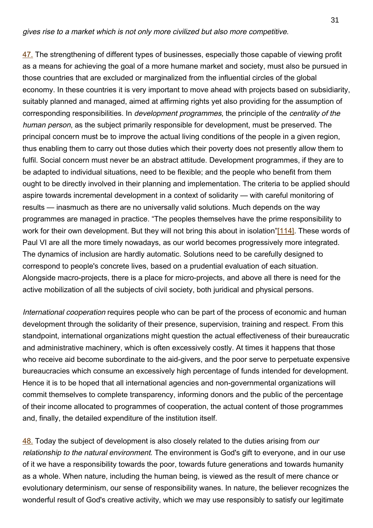gives rise to a market which is not only more civilized but also more competitive.

47. The strengthening of different types of businesses, especially those capable of viewing profit as a means for achieving the goal of a more humane market and society, must also be pursued in those countries that are excluded or marginalized from the influential circles of the global economy. In these countries it is very important to move ahead with projects based on subsidiarity, suitably planned and managed, aimed at affirming rights yet also providing for the assumption of corresponding responsibilities. In development programmes, the principle of the centrality of the human person, as the subject primarily responsible for development, must be preserved. The principal concern must be to improve the actual living conditions of the people in a given region, thus enabling them to carry out those duties which their poverty does not presently allow them to fulfil. Social concern must never be an abstract attitude. Development programmes, if they are to be adapted to individual situations, need to be flexible; and the people who benefit from them ought to be directly involved in their planning and implementation. The criteria to be applied should aspire towards incremental development in a context of solidarity — with careful monitoring of results — inasmuch as there are no universally valid solutions. Much depends on the way programmes are managed in practice. "The peoples themselves have the prime responsibility to work for their own development. But they will not bring this about in isolation"[114]. These words of Paul VI are all the more timely nowadays, as our world becomes progressively more integrated. The dynamics of inclusion are hardly automatic. Solutions need to be carefully designed to correspond to people's concrete lives, based on a prudential evaluation of each situation. Alongside macro-projects, there is a place for micro-projects, and above all there is need for the active mobilization of all the subjects of civil society, both juridical and physical persons.

International cooperation requires people who can be part of the process of economic and human development through the solidarity of their presence, supervision, training and respect. From this standpoint, international organizations might question the actual effectiveness of their bureaucratic and administrative machinery, which is often excessively costly. At times it happens that those who receive aid become subordinate to the aid-givers, and the poor serve to perpetuate expensive bureaucracies which consume an excessively high percentage of funds intended for development. Hence it is to be hoped that all international agencies and non-governmental organizations will commit themselves to complete transparency, informing donors and the public of the percentage of their income allocated to programmes of cooperation, the actual content of those programmes and, finally, the detailed expenditure of the institution itself.

48. Today the subject of development is also closely related to the duties arising from our relationship to the natural environment. The environment is God's gift to everyone, and in our use of it we have a responsibility towards the poor, towards future generations and towards humanity as a whole. When nature, including the human being, is viewed as the result of mere chance or evolutionary determinism, our sense of responsibility wanes. In nature, the believer recognizes the wonderful result of God's creative activity, which we may use responsibly to satisfy our legitimate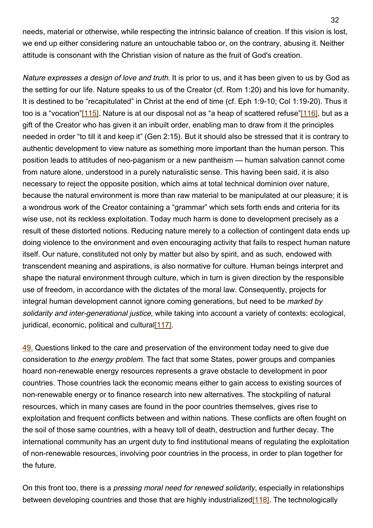needs, material or otherwise, while respecting the intrinsic balance of creation. If this vision is lost, we end up either considering nature an untouchable taboo or, on the contrary, abusing it. Neither attitude is consonant with the Christian vision of nature as the fruit of God's creation.

Nature expresses a design of love and truth. It is prior to us, and it has been given to us by God as the setting for our life. Nature speaks to us of the Creator (cf. Rom 1:20) and his love for humanity. It is destined to be "recapitulated" in Christ at the end of time (cf. Eph 1:9-10; Col 1:19-20). Thus it too is a "vocation"[115]. Nature is at our disposal not as "a heap of scattered refuse"[116], but as a gift of the Creator who has given it an inbuilt order, enabling man to draw from it the principles needed in order "to till it and keep it" (Gen 2:15). But it should also be stressed that it is contrary to authentic development to view nature as something more important than the human person. This position leads to attitudes of neo-paganism or a new pantheism — human salvation cannot come from nature alone, understood in a purely naturalistic sense. This having been said, it is also necessary to reject the opposite position, which aims at total technical dominion over nature, because the natural environment is more than raw material to be manipulated at our pleasure; it is a wondrous work of the Creator containing a "grammar" which sets forth ends and criteria for its wise use, not its reckless exploitation. Today much harm is done to development precisely as a result of these distorted notions. Reducing nature merely to a collection of contingent data ends up doing violence to the environment and even encouraging activity that fails to respect human nature itself. Our nature, constituted not only by matter but also by spirit, and as such, endowed with transcendent meaning and aspirations, is also normative for culture. Human beings interpret and shape the natural environment through culture, which in turn is given direction by the responsible use of freedom, in accordance with the dictates of the moral law. Consequently, projects for integral human development cannot ignore coming generations, but need to be marked by solidarity and inter-generational justice, while taking into account a variety of contexts: ecological, juridical, economic, political and cultural $[117]$ .

49. Questions linked to the care and preservation of the environment today need to give due consideration to the energy problem. The fact that some States, power groups and companies hoard non-renewable energy resources represents a grave obstacle to development in poor countries. Those countries lack the economic means either to gain access to existing sources of non-renewable energy or to finance research into new alternatives. The stockpiling of natural resources, which in many cases are found in the poor countries themselves, gives rise to exploitation and frequent conflicts between and within nations. These conflicts are often fought on the soil of those same countries, with a heavy toll of death, destruction and further decay. The international community has an urgent duty to find institutional means of regulating the exploitation of non-renewable resources, involving poor countries in the process, in order to plan together for the future.

On this front too, there is a pressing moral need for renewed solidarity, especially in relationships between developing countries and those that are highly industrialized<sup>[118]</sup>. The technologically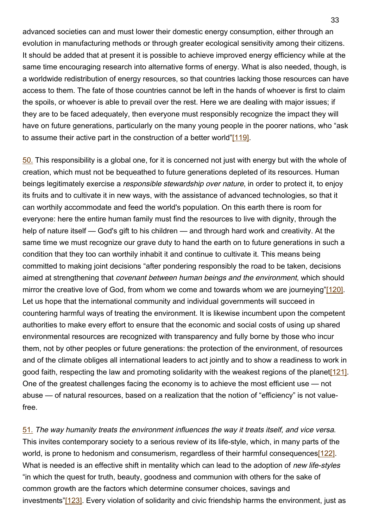advanced societies can and must lower their domestic energy consumption, either through an evolution in manufacturing methods or through greater ecological sensitivity among their citizens. It should be added that at present it is possible to achieve improved energy efficiency while at the same time encouraging research into alternative forms of energy. What is also needed, though, is a worldwide redistribution of energy resources, so that countries lacking those resources can have access to them. The fate of those countries cannot be left in the hands of whoever is first to claim the spoils, or whoever is able to prevail over the rest. Here we are dealing with major issues; if they are to be faced adequately, then everyone must responsibly recognize the impact they will have on future generations, particularly on the many young people in the poorer nations, who "ask to assume their active part in the construction of a better world"[119].

50. This responsibility is a global one, for it is concerned not just with energy but with the whole of creation, which must not be bequeathed to future generations depleted of its resources. Human beings legitimately exercise a *responsible stewardship over nature*, in order to protect it, to enjoy its fruits and to cultivate it in new ways, with the assistance of advanced technologies, so that it can worthily accommodate and feed the world's population. On this earth there is room for everyone: here the entire human family must find the resources to live with dignity, through the help of nature itself — God's gift to his children — and through hard work and creativity. At the same time we must recognize our grave duty to hand the earth on to future generations in such a condition that they too can worthily inhabit it and continue to cultivate it. This means being committed to making joint decisions "after pondering responsibly the road to be taken, decisions aimed at strengthening that covenant between human beings and the environment, which should mirror the creative love of God, from whom we come and towards whom we are journeying"[120]. Let us hope that the international community and individual governments will succeed in countering harmful ways of treating the environment. It is likewise incumbent upon the competent authorities to make every effort to ensure that the economic and social costs of using up shared environmental resources are recognized with transparency and fully borne by those who incur them, not by other peoples or future generations: the protection of the environment, of resources and of the climate obliges all international leaders to act jointly and to show a readiness to work in good faith, respecting the law and promoting solidarity with the weakest regions of the planet [121]. One of the greatest challenges facing the economy is to achieve the most efficient use — not abuse — of natural resources, based on a realization that the notion of "efficiency" is not valuefree.

51. The way humanity treats the environment influences the way it treats itself, and vice versa. This invites contemporary society to a serious review of its life-style, which, in many parts of the world, is prone to hedonism and consumerism, regardless of their harmful consequences [122]. What is needed is an effective shift in mentality which can lead to the adoption of new life-styles "in which the quest for truth, beauty, goodness and communion with others for the sake of common growth are the factors which determine consumer choices, savings and investments"<sup>[123]</sup>. Every violation of solidarity and civic friendship harms the environment, just as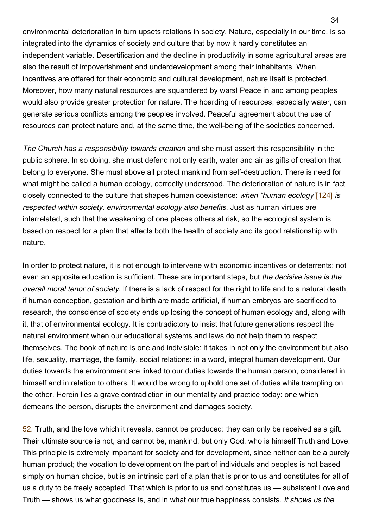environmental deterioration in turn upsets relations in society. Nature, especially in our time, is so integrated into the dynamics of society and culture that by now it hardly constitutes an independent variable. Desertification and the decline in productivity in some agricultural areas are also the result of impoverishment and underdevelopment among their inhabitants. When incentives are offered for their economic and cultural development, nature itself is protected. Moreover, how many natural resources are squandered by wars! Peace in and among peoples would also provide greater protection for nature. The hoarding of resources, especially water, can generate serious conflicts among the peoples involved. Peaceful agreement about the use of resources can protect nature and, at the same time, the well-being of the societies concerned.

The Church has a responsibility towards creation and she must assert this responsibility in the public sphere. In so doing, she must defend not only earth, water and air as gifts of creation that belong to everyone. She must above all protect mankind from self-destruction. There is need for what might be called a human ecology, correctly understood. The deterioration of nature is in fact closely connected to the culture that shapes human coexistence: when "human ecology"[124] is respected within society, environmental ecology also benefits. Just as human virtues are interrelated, such that the weakening of one places others at risk, so the ecological system is based on respect for a plan that affects both the health of society and its good relationship with nature.

In order to protect nature, it is not enough to intervene with economic incentives or deterrents; not even an apposite education is sufficient. These are important steps, but the decisive issue is the overall moral tenor of society. If there is a lack of respect for the right to life and to a natural death, if human conception, gestation and birth are made artificial, if human embryos are sacrificed to research, the conscience of society ends up losing the concept of human ecology and, along with it, that of environmental ecology. It is contradictory to insist that future generations respect the natural environment when our educational systems and laws do not help them to respect themselves. The book of nature is one and indivisible: it takes in not only the environment but also life, sexuality, marriage, the family, social relations: in a word, integral human development. Our duties towards the environment are linked to our duties towards the human person, considered in himself and in relation to others. It would be wrong to uphold one set of duties while trampling on the other. Herein lies a grave contradiction in our mentality and practice today: one which demeans the person, disrupts the environment and damages society.

52. Truth, and the love which it reveals, cannot be produced: they can only be received as a gift. Their ultimate source is not, and cannot be, mankind, but only God, who is himself Truth and Love. This principle is extremely important for society and for development, since neither can be a purely human product; the vocation to development on the part of individuals and peoples is not based simply on human choice, but is an intrinsic part of a plan that is prior to us and constitutes for all of us a duty to be freely accepted. That which is prior to us and constitutes us — subsistent Love and Truth — shows us what goodness is, and in what our true happiness consists. It shows us the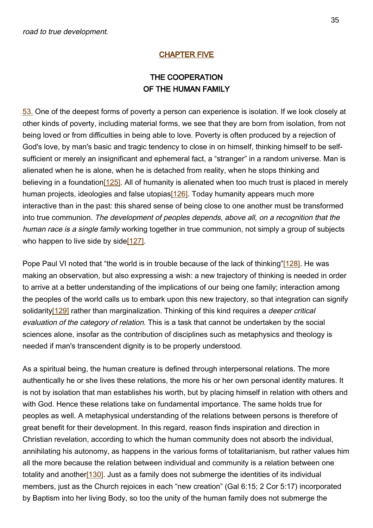## CHAPTER FIVE

# THE COOPERATION OF THE HUMAN FAMILY

53. One of the deepest forms of poverty a person can experience is isolation. If we look closely at other kinds of poverty, including material forms, we see that they are born from isolation, from not being loved or from difficulties in being able to love. Poverty is often produced by a rejection of God's love, by man's basic and tragic tendency to close in on himself, thinking himself to be selfsufficient or merely an insignificant and ephemeral fact, a "stranger" in a random universe. Man is alienated when he is alone, when he is detached from reality, when he stops thinking and believing in a foundation<sup>[125]</sup>. All of humanity is alienated when too much trust is placed in merely human projects, ideologies and false utopias [126]. Today humanity appears much more interactive than in the past: this shared sense of being close to one another must be transformed into true communion. The development of peoples depends, above all, on a recognition that the human race is a single family working together in true communion, not simply a group of subjects who happen to live side by side $[127]$ .

Pope Paul VI noted that "the world is in trouble because of the lack of thinking"[128]. He was making an observation, but also expressing a wish: a new trajectory of thinking is needed in order to arrive at a better understanding of the implications of our being one family; interaction among the peoples of the world calls us to embark upon this new trajectory, so that integration can signify solidarity<sup>[129]</sup> rather than marginalization. Thinking of this kind requires a *deeper critical* evaluation of the category of relation. This is a task that cannot be undertaken by the social sciences alone, insofar as the contribution of disciplines such as metaphysics and theology is needed if man's transcendent dignity is to be properly understood.

As a spiritual being, the human creature is defined through interpersonal relations. The more authentically he or she lives these relations, the more his or her own personal identity matures. It is not by isolation that man establishes his worth, but by placing himself in relation with others and with God. Hence these relations take on fundamental importance. The same holds true for peoples as well. A metaphysical understanding of the relations between persons is therefore of great benefit for their development. In this regard, reason finds inspiration and direction in Christian revelation, according to which the human community does not absorb the individual, annihilating his autonomy, as happens in the various forms of totalitarianism, but rather values him all the more because the relation between individual and community is a relation between one totality and another<sup>[130]</sup>. Just as a family does not submerge the identities of its individual members, just as the Church rejoices in each "new creation" (Gal 6:15; 2 Cor 5:17) incorporated by Baptism into her living Body, so too the unity of the human family does not submerge the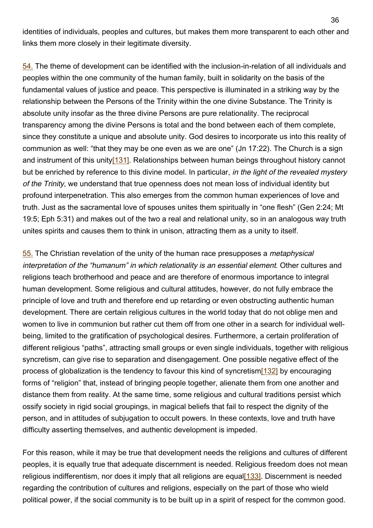identities of individuals, peoples and cultures, but makes them more transparent to each other and links them more closely in their legitimate diversity.

54. The theme of development can be identified with the inclusion-in-relation of all individuals and peoples within the one community of the human family, built in solidarity on the basis of the fundamental values of justice and peace. This perspective is illuminated in a striking way by the relationship between the Persons of the Trinity within the one divine Substance. The Trinity is absolute unity insofar as the three divine Persons are pure relationality. The reciprocal transparency among the divine Persons is total and the bond between each of them complete, since they constitute a unique and absolute unity. God desires to incorporate us into this reality of communion as well: "that they may be one even as we are one" (Jn 17:22). The Church is a sign and instrument of this unity<sup>[131]</sup>. Relationships between human beings throughout history cannot but be enriched by reference to this divine model. In particular, in the light of the revealed mystery of the Trinity, we understand that true openness does not mean loss of individual identity but profound interpenetration. This also emerges from the common human experiences of love and truth. Just as the sacramental love of spouses unites them spiritually in "one flesh" (Gen 2:24; Mt 19:5; Eph 5:31) and makes out of the two a real and relational unity, so in an analogous way truth unites spirits and causes them to think in unison, attracting them as a unity to itself.

55. The Christian revelation of the unity of the human race presupposes a metaphysical interpretation of the "humanum" in which relationality is an essential element. Other cultures and religions teach brotherhood and peace and are therefore of enormous importance to integral human development. Some religious and cultural attitudes, however, do not fully embrace the principle of love and truth and therefore end up retarding or even obstructing authentic human development. There are certain religious cultures in the world today that do not oblige men and women to live in communion but rather cut them off from one other in a search for individual wellbeing, limited to the gratification of psychological desires. Furthermore, a certain proliferation of different religious "paths", attracting small groups or even single individuals, together with religious syncretism, can give rise to separation and disengagement. One possible negative effect of the process of globalization is the tendency to favour this kind of syncretism[132] by encouraging forms of "religion" that, instead of bringing people together, alienate them from one another and distance them from reality. At the same time, some religious and cultural traditions persist which ossify society in rigid social groupings, in magical beliefs that fail to respect the dignity of the person, and in attitudes of subjugation to occult powers. In these contexts, love and truth have difficulty asserting themselves, and authentic development is impeded.

For this reason, while it may be true that development needs the religions and cultures of different peoples, it is equally true that adequate discernment is needed. Religious freedom does not mean religious indifferentism, nor does it imply that all religions are equal [133]. Discernment is needed regarding the contribution of cultures and religions, especially on the part of those who wield political power, if the social community is to be built up in a spirit of respect for the common good.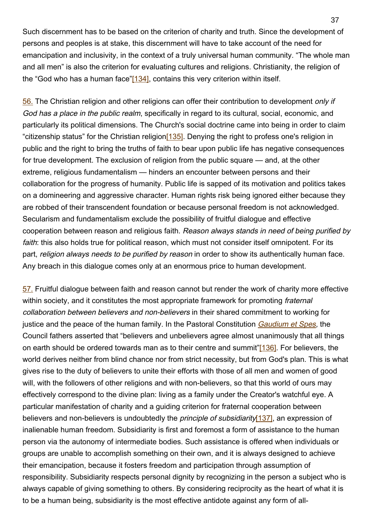Such discernment has to be based on the criterion of charity and truth. Since the development of persons and peoples is at stake, this discernment will have to take account of the need for emancipation and inclusivity, in the context of a truly universal human community. "The whole man and all men" is also the criterion for evaluating cultures and religions. Christianity, the religion of the "God who has a human face"[134], contains this very criterion within itself.

56. The Christian religion and other religions can offer their contribution to development only if God has a place in the public realm, specifically in regard to its cultural, social, economic, and particularly its political dimensions. The Church's social doctrine came into being in order to claim "citizenship status" for the Christian religion<sup>[135]</sup>. Denying the right to profess one's religion in public and the right to bring the truths of faith to bear upon public life has negative consequences for true development. The exclusion of religion from the public square — and, at the other extreme, religious fundamentalism — hinders an encounter between persons and their collaboration for the progress of humanity. Public life is sapped of its motivation and politics takes on a domineering and aggressive character. Human rights risk being ignored either because they are robbed of their transcendent foundation or because personal freedom is not acknowledged. Secularism and fundamentalism exclude the possibility of fruitful dialogue and effective cooperation between reason and religious faith. Reason always stands in need of being purified by faith: this also holds true for political reason, which must not consider itself omnipotent. For its part, religion always needs to be purified by reason in order to show its authentically human face. Any breach in this dialogue comes only at an enormous price to human development.

57. Fruitful dialogue between faith and reason cannot but render the work of charity more effective within society, and it constitutes the most appropriate framework for promoting *fraternal* collaboration between believers and non-believers in their shared commitment to working for justice and the peace of the human family. In the Pastoral Constitution [Gaudium et Spes](http://www.vatican.va/archive/hist_councils/ii_vatican_council/documents/vat-ii_const_19651207_gaudium-et-spes_en.html), the Council fathers asserted that "believers and unbelievers agree almost unanimously that all things on earth should be ordered towards man as to their centre and summit"[136]. For believers, the world derives neither from blind chance nor from strict necessity, but from God's plan. This is what gives rise to the duty of believers to unite their efforts with those of all men and women of good will, with the followers of other religions and with non-believers, so that this world of ours may effectively correspond to the divine plan: living as a family under the Creator's watchful eye. A particular manifestation of charity and a guiding criterion for fraternal cooperation between believers and non-believers is undoubtedly the *principle of subsidiarity*<sup>[137]</sup>, an expression of inalienable human freedom. Subsidiarity is first and foremost a form of assistance to the human person via the autonomy of intermediate bodies. Such assistance is offered when individuals or groups are unable to accomplish something on their own, and it is always designed to achieve their emancipation, because it fosters freedom and participation through assumption of responsibility. Subsidiarity respects personal dignity by recognizing in the person a subject who is always capable of giving something to others. By considering reciprocity as the heart of what it is to be a human being, subsidiarity is the most effective antidote against any form of all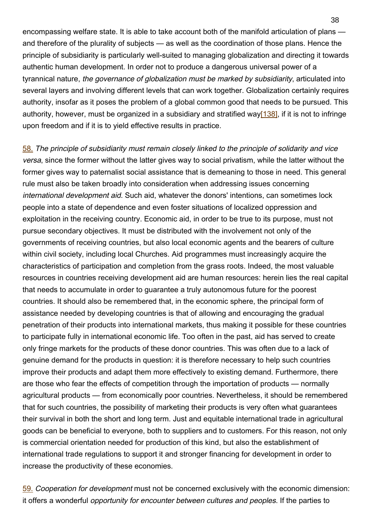encompassing welfare state. It is able to take account both of the manifold articulation of plans and therefore of the plurality of subjects — as well as the coordination of those plans. Hence the principle of subsidiarity is particularly well-suited to managing globalization and directing it towards authentic human development. In order not to produce a dangerous universal power of a tyrannical nature, the governance of globalization must be marked by subsidiarity, articulated into several layers and involving different levels that can work together. Globalization certainly requires authority, insofar as it poses the problem of a global common good that needs to be pursued. This authority, however, must be organized in a subsidiary and stratified way<sup>[138]</sup>, if it is not to infringe upon freedom and if it is to yield effective results in practice.

58. The principle of subsidiarity must remain closely linked to the principle of solidarity and vice versa, since the former without the latter gives way to social privatism, while the latter without the former gives way to paternalist social assistance that is demeaning to those in need. This general rule must also be taken broadly into consideration when addressing issues concerning international development aid. Such aid, whatever the donors' intentions, can sometimes lock people into a state of dependence and even foster situations of localized oppression and exploitation in the receiving country. Economic aid, in order to be true to its purpose, must not pursue secondary objectives. It must be distributed with the involvement not only of the governments of receiving countries, but also local economic agents and the bearers of culture within civil society, including local Churches. Aid programmes must increasingly acquire the characteristics of participation and completion from the grass roots. Indeed, the most valuable resources in countries receiving development aid are human resources: herein lies the real capital that needs to accumulate in order to guarantee a truly autonomous future for the poorest countries. It should also be remembered that, in the economic sphere, the principal form of assistance needed by developing countries is that of allowing and encouraging the gradual penetration of their products into international markets, thus making it possible for these countries to participate fully in international economic life. Too often in the past, aid has served to create only fringe markets for the products of these donor countries. This was often due to a lack of genuine demand for the products in question: it is therefore necessary to help such countries improve their products and adapt them more effectively to existing demand. Furthermore, there are those who fear the effects of competition through the importation of products — normally agricultural products — from economically poor countries. Nevertheless, it should be remembered that for such countries, the possibility of marketing their products is very often what guarantees their survival in both the short and long term. Just and equitable international trade in agricultural goods can be beneficial to everyone, both to suppliers and to customers. For this reason, not only is commercial orientation needed for production of this kind, but also the establishment of international trade regulations to support it and stronger financing for development in order to increase the productivity of these economies.

59. Cooperation for development must not be concerned exclusively with the economic dimension: it offers a wonderful opportunity for encounter between cultures and peoples. If the parties to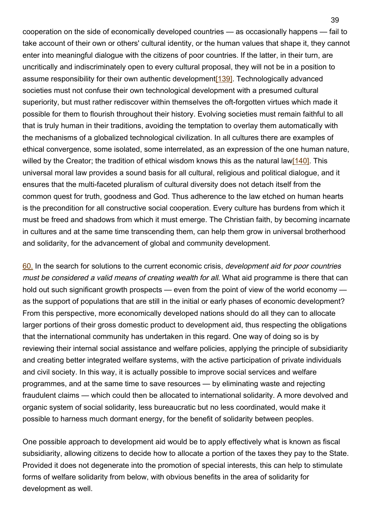cooperation on the side of economically developed countries — as occasionally happens — fail to take account of their own or others' cultural identity, or the human values that shape it, they cannot enter into meaningful dialogue with the citizens of poor countries. If the latter, in their turn, are uncritically and indiscriminately open to every cultural proposal, they will not be in a position to assume responsibility for their own authentic development<sup>[139]</sup>. Technologically advanced societies must not confuse their own technological development with a presumed cultural superiority, but must rather rediscover within themselves the oft-forgotten virtues which made it possible for them to flourish throughout their history. Evolving societies must remain faithful to all that is truly human in their traditions, avoiding the temptation to overlay them automatically with the mechanisms of a globalized technological civilization. In all cultures there are examples of ethical convergence, some isolated, some interrelated, as an expression of the one human nature, willed by the Creator; the tradition of ethical wisdom knows this as the natural law[140]. This universal moral law provides a sound basis for all cultural, religious and political dialogue, and it ensures that the multi-faceted pluralism of cultural diversity does not detach itself from the common quest for truth, goodness and God. Thus adherence to the law etched on human hearts is the precondition for all constructive social cooperation. Every culture has burdens from which it must be freed and shadows from which it must emerge. The Christian faith, by becoming incarnate in cultures and at the same time transcending them, can help them grow in universal brotherhood and solidarity, for the advancement of global and community development.

60. In the search for solutions to the current economic crisis, development aid for poor countries must be considered a valid means of creating wealth for all. What aid programme is there that can hold out such significant growth prospects — even from the point of view of the world economy as the support of populations that are still in the initial or early phases of economic development? From this perspective, more economically developed nations should do all they can to allocate larger portions of their gross domestic product to development aid, thus respecting the obligations that the international community has undertaken in this regard. One way of doing so is by reviewing their internal social assistance and welfare policies, applying the principle of subsidiarity and creating better integrated welfare systems, with the active participation of private individuals and civil society. In this way, it is actually possible to improve social services and welfare programmes, and at the same time to save resources — by eliminating waste and rejecting fraudulent claims — which could then be allocated to international solidarity. A more devolved and organic system of social solidarity, less bureaucratic but no less coordinated, would make it possible to harness much dormant energy, for the benefit of solidarity between peoples.

One possible approach to development aid would be to apply effectively what is known as fiscal subsidiarity, allowing citizens to decide how to allocate a portion of the taxes they pay to the State. Provided it does not degenerate into the promotion of special interests, this can help to stimulate forms of welfare solidarity from below, with obvious benefits in the area of solidarity for development as well.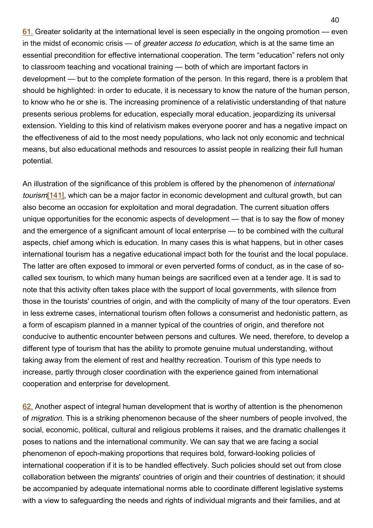61. Greater solidarity at the international level is seen especially in the ongoing promotion — even in the midst of economic crisis — of greater access to education, which is at the same time an essential precondition for effective international cooperation. The term "education" refers not only to classroom teaching and vocational training — both of which are important factors in development — but to the complete formation of the person. In this regard, there is a problem that should be highlighted: in order to educate, it is necessary to know the nature of the human person, to know who he or she is. The increasing prominence of a relativistic understanding of that nature presents serious problems for education, especially moral education, jeopardizing its universal extension. Yielding to this kind of relativism makes everyone poorer and has a negative impact on the effectiveness of aid to the most needy populations, who lack not only economic and technical means, but also educational methods and resources to assist people in realizing their full human potential.

An illustration of the significance of this problem is offered by the phenomenon of international tourism[141], which can be a major factor in economic development and cultural growth, but can also become an occasion for exploitation and moral degradation. The current situation offers unique opportunities for the economic aspects of development — that is to say the flow of money and the emergence of a significant amount of local enterprise — to be combined with the cultural aspects, chief among which is education. In many cases this is what happens, but in other cases international tourism has a negative educational impact both for the tourist and the local populace. The latter are often exposed to immoral or even perverted forms of conduct, as in the case of socalled sex tourism, to which many human beings are sacrificed even at a tender age. It is sad to note that this activity often takes place with the support of local governments, with silence from those in the tourists' countries of origin, and with the complicity of many of the tour operators. Even in less extreme cases, international tourism often follows a consumerist and hedonistic pattern, as a form of escapism planned in a manner typical of the countries of origin, and therefore not conducive to authentic encounter between persons and cultures. We need, therefore, to develop a different type of tourism that has the ability to promote genuine mutual understanding, without taking away from the element of rest and healthy recreation. Tourism of this type needs to increase, partly through closer coordination with the experience gained from international cooperation and enterprise for development.

62. Another aspect of integral human development that is worthy of attention is the phenomenon of migration. This is a striking phenomenon because of the sheer numbers of people involved, the social, economic, political, cultural and religious problems it raises, and the dramatic challenges it poses to nations and the international community. We can say that we are facing a social phenomenon of epoch-making proportions that requires bold, forward-looking policies of international cooperation if it is to be handled effectively. Such policies should set out from close collaboration between the migrants' countries of origin and their countries of destination; it should be accompanied by adequate international norms able to coordinate different legislative systems with a view to safeguarding the needs and rights of individual migrants and their families, and at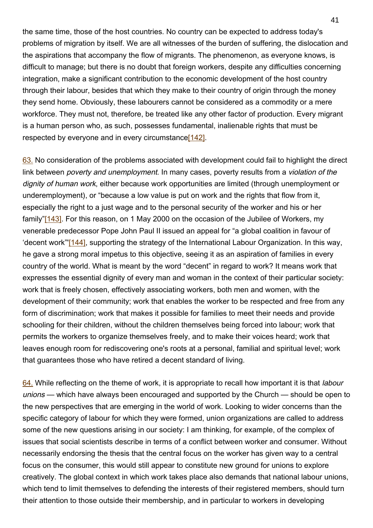the same time, those of the host countries. No country can be expected to address today's problems of migration by itself. We are all witnesses of the burden of suffering, the dislocation and the aspirations that accompany the flow of migrants. The phenomenon, as everyone knows, is difficult to manage; but there is no doubt that foreign workers, despite any difficulties concerning integration, make a significant contribution to the economic development of the host country through their labour, besides that which they make to their country of origin through the money they send home. Obviously, these labourers cannot be considered as a commodity or a mere workforce. They must not, therefore, be treated like any other factor of production. Every migrant is a human person who, as such, possesses fundamental, inalienable rights that must be respected by everyone and in every circumstance<sup>[142]</sup>.

63. No consideration of the problems associated with development could fail to highlight the direct link between *poverty and unemployment*. In many cases, poverty results from a *violation of the* dignity of human work, either because work opportunities are limited (through unemployment or underemployment), or "because a low value is put on work and the rights that flow from it, especially the right to a just wage and to the personal security of the worker and his or her family"[143]. For this reason, on 1 May 2000 on the occasion of the Jubilee of Workers, my venerable predecessor Pope John Paul II issued an appeal for "a global coalition in favour of 'decent work"'[144], supporting the strategy of the International Labour Organization. In this way, he gave a strong moral impetus to this objective, seeing it as an aspiration of families in every country of the world. What is meant by the word "decent" in regard to work? It means work that expresses the essential dignity of every man and woman in the context of their particular society: work that is freely chosen, effectively associating workers, both men and women, with the development of their community; work that enables the worker to be respected and free from any form of discrimination; work that makes it possible for families to meet their needs and provide schooling for their children, without the children themselves being forced into labour; work that permits the workers to organize themselves freely, and to make their voices heard; work that leaves enough room for rediscovering one's roots at a personal, familial and spiritual level; work that guarantees those who have retired a decent standard of living.

64. While reflecting on the theme of work, it is appropriate to recall how important it is that labour unions — which have always been encouraged and supported by the Church — should be open to the new perspectives that are emerging in the world of work. Looking to wider concerns than the specific category of labour for which they were formed, union organizations are called to address some of the new questions arising in our society: I am thinking, for example, of the complex of issues that social scientists describe in terms of a conflict between worker and consumer. Without necessarily endorsing the thesis that the central focus on the worker has given way to a central focus on the consumer, this would still appear to constitute new ground for unions to explore creatively. The global context in which work takes place also demands that national labour unions, which tend to limit themselves to defending the interests of their registered members, should turn their attention to those outside their membership, and in particular to workers in developing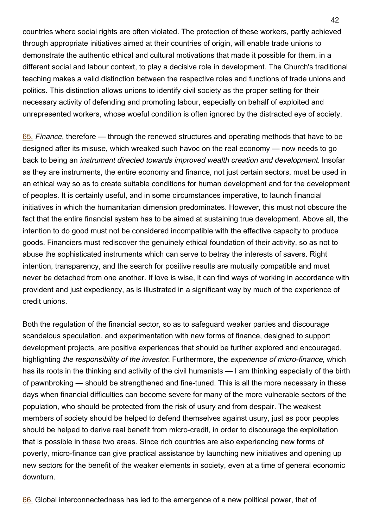countries where social rights are often violated. The protection of these workers, partly achieved through appropriate initiatives aimed at their countries of origin, will enable trade unions to demonstrate the authentic ethical and cultural motivations that made it possible for them, in a different social and labour context, to play a decisive role in development. The Church's traditional teaching makes a valid distinction between the respective roles and functions of trade unions and politics. This distinction allows unions to identify civil society as the proper setting for their necessary activity of defending and promoting labour, especially on behalf of exploited and unrepresented workers, whose woeful condition is often ignored by the distracted eye of society.

 $65.$  Finance, therefore — through the renewed structures and operating methods that have to be designed after its misuse, which wreaked such havoc on the real economy — now needs to go back to being an instrument directed towards improved wealth creation and development. Insofar as they are instruments, the entire economy and finance, not just certain sectors, must be used in an ethical way so as to create suitable conditions for human development and for the development of peoples. It is certainly useful, and in some circumstances imperative, to launch financial initiatives in which the humanitarian dimension predominates. However, this must not obscure the fact that the entire financial system has to be aimed at sustaining true development. Above all, the intention to do good must not be considered incompatible with the effective capacity to produce goods. Financiers must rediscover the genuinely ethical foundation of their activity, so as not to abuse the sophisticated instruments which can serve to betray the interests of savers. Right intention, transparency, and the search for positive results are mutually compatible and must never be detached from one another. If love is wise, it can find ways of working in accordance with provident and just expediency, as is illustrated in a significant way by much of the experience of credit unions.

Both the regulation of the financial sector, so as to safeguard weaker parties and discourage scandalous speculation, and experimentation with new forms of finance, designed to support development projects, are positive experiences that should be further explored and encouraged, highlighting the responsibility of the investor. Furthermore, the experience of micro-finance, which has its roots in the thinking and activity of the civil humanists — I am thinking especially of the birth of pawnbroking — should be strengthened and fine-tuned. This is all the more necessary in these days when financial difficulties can become severe for many of the more vulnerable sectors of the population, who should be protected from the risk of usury and from despair. The weakest members of society should be helped to defend themselves against usury, just as poor peoples should be helped to derive real benefit from micro-credit, in order to discourage the exploitation that is possible in these two areas. Since rich countries are also experiencing new forms of poverty, micro-finance can give practical assistance by launching new initiatives and opening up new sectors for the benefit of the weaker elements in society, even at a time of general economic downturn.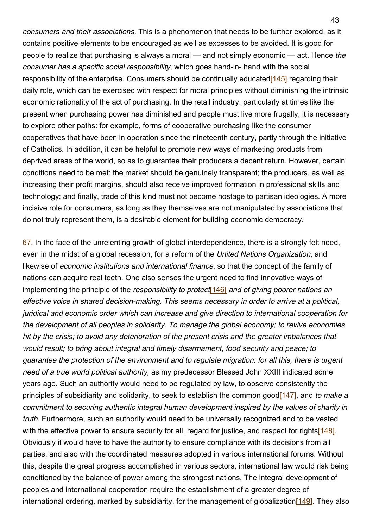consumers and their associations. This is a phenomenon that needs to be further explored, as it contains positive elements to be encouraged as well as excesses to be avoided. It is good for people to realize that purchasing is always a moral — and not simply economic — act. Hence the consumer has a specific social responsibility, which goes hand-in- hand with the social responsibility of the enterprise. Consumers should be continually educated<sup>[145]</sup> regarding their daily role, which can be exercised with respect for moral principles without diminishing the intrinsic economic rationality of the act of purchasing. In the retail industry, particularly at times like the present when purchasing power has diminished and people must live more frugally, it is necessary to explore other paths: for example, forms of cooperative purchasing like the consumer cooperatives that have been in operation since the nineteenth century, partly through the initiative of Catholics. In addition, it can be helpful to promote new ways of marketing products from deprived areas of the world, so as to guarantee their producers a decent return. However, certain conditions need to be met: the market should be genuinely transparent; the producers, as well as increasing their profit margins, should also receive improved formation in professional skills and technology; and finally, trade of this kind must not become hostage to partisan ideologies. A more incisive role for consumers, as long as they themselves are not manipulated by associations that do not truly represent them, is a desirable element for building economic democracy.

 $67$ . In the face of the unrelenting growth of global interdependence, there is a strongly felt need, even in the midst of a global recession, for a reform of the United Nations Organization, and likewise of economic institutions and international finance, so that the concept of the family of nations can acquire real teeth. One also senses the urgent need to find innovative ways of implementing the principle of the responsibility to protect<sup>[146]</sup> and of giving poorer nations an effective voice in shared decision-making. This seems necessary in order to arrive at a political, juridical and economic order which can increase and give direction to international cooperation for the development of all peoples in solidarity. To manage the global economy; to revive economies hit by the crisis; to avoid any deterioration of the present crisis and the greater imbalances that would result; to bring about integral and timely disarmament, food security and peace; to guarantee the protection of the environment and to regulate migration: for all this, there is urgent need of a true world political authority, as my predecessor Blessed John XXIII indicated some years ago. Such an authority would need to be regulated by law, to observe consistently the principles of subsidiarity and solidarity, to seek to establish the common good  $[147]$ , and to make a commitment to securing authentic integral human development inspired by the values of charity in truth. Furthermore, such an authority would need to be universally recognized and to be vested with the effective power to ensure security for all, regard for justice, and respect for rights [148]. Obviously it would have to have the authority to ensure compliance with its decisions from all parties, and also with the coordinated measures adopted in various international forums. Without this, despite the great progress accomplished in various sectors, international law would risk being conditioned by the balance of power among the strongest nations. The integral development of peoples and international cooperation require the establishment of a greater degree of international ordering, marked by subsidiarity, for the management of globalization [149]. They also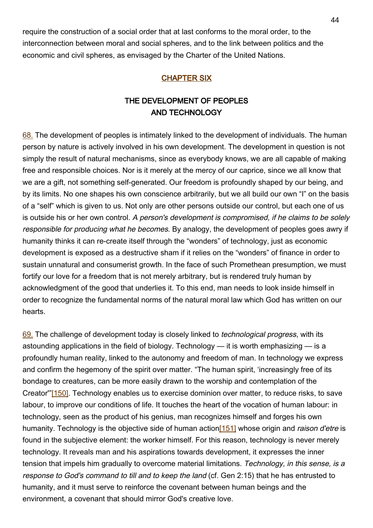require the construction of a social order that at last conforms to the moral order, to the interconnection between moral and social spheres, and to the link between politics and the economic and civil spheres, as envisaged by the Charter of the United Nations.

#### CHAPTER SIX

## THE DEVELOPMENT OF PEOPLES AND TECHNOLOGY

68. The development of peoples is intimately linked to the development of individuals. The human person by nature is actively involved in his own development. The development in question is not simply the result of natural mechanisms, since as everybody knows, we are all capable of making free and responsible choices. Nor is it merely at the mercy of our caprice, since we all know that we are a gift, not something self-generated. Our freedom is profoundly shaped by our being, and by its limits. No one shapes his own conscience arbitrarily, but we all build our own "I" on the basis of a "self" which is given to us. Not only are other persons outside our control, but each one of us is outside his or her own control. A person's development is compromised, if he claims to be solely responsible for producing what he becomes. By analogy, the development of peoples goes awry if humanity thinks it can re-create itself through the "wonders" of technology, just as economic development is exposed as a destructive sham if it relies on the "wonders" of finance in order to sustain unnatural and consumerist growth. In the face of such Promethean presumption, we must fortify our love for a freedom that is not merely arbitrary, but is rendered truly human by acknowledgment of the good that underlies it. To this end, man needs to look inside himself in order to recognize the fundamental norms of the natural moral law which God has written on our hearts.

69. The challenge of development today is closely linked to *technological progress*, with its astounding applications in the field of biology. Technology — it is worth emphasizing — is a profoundly human reality, linked to the autonomy and freedom of man. In technology we express and confirm the hegemony of the spirit over matter. "The human spirit, 'increasingly free of its bondage to creatures, can be more easily drawn to the worship and contemplation of the Creator"[150]. Technology enables us to exercise dominion over matter, to reduce risks, to save labour, to improve our conditions of life. It touches the heart of the vocation of human labour: in technology, seen as the product of his genius, man recognizes himself and forges his own humanity. Technology is the objective side of human action [151] whose origin and raison d'etre is found in the subjective element: the worker himself. For this reason, technology is never merely technology. It reveals man and his aspirations towards development, it expresses the inner tension that impels him gradually to overcome material limitations. Technology, in this sense, is a response to God's command to till and to keep the land (cf. Gen 2:15) that he has entrusted to humanity, and it must serve to reinforce the covenant between human beings and the environment, a covenant that should mirror God's creative love.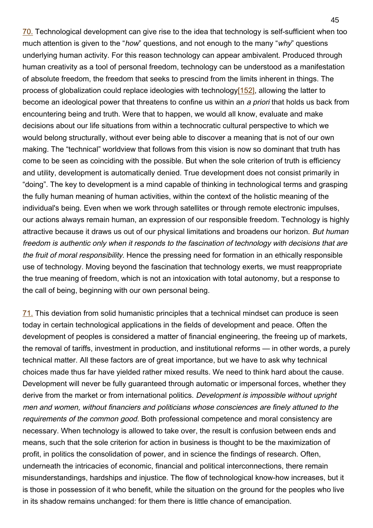70. Technological development can give rise to the idea that technology is self-sufficient when too much attention is given to the "how" questions, and not enough to the many "why" questions underlying human activity. For this reason technology can appear ambivalent. Produced through human creativity as a tool of personal freedom, technology can be understood as a manifestation of absolute freedom, the freedom that seeks to prescind from the limits inherent in things. The process of globalization could replace ideologies with technology<sup>[152]</sup>, allowing the latter to become an ideological power that threatens to confine us within an a priori that holds us back from encountering being and truth. Were that to happen, we would all know, evaluate and make decisions about our life situations from within a technocratic cultural perspective to which we would belong structurally, without ever being able to discover a meaning that is not of our own making. The "technical" worldview that follows from this vision is now so dominant that truth has come to be seen as coinciding with the possible. But when the sole criterion of truth is efficiency and utility, development is automatically denied. True development does not consist primarily in "doing". The key to development is a mind capable of thinking in technological terms and grasping the fully human meaning of human activities, within the context of the holistic meaning of the individual's being. Even when we work through satellites or through remote electronic impulses, our actions always remain human, an expression of our responsible freedom. Technology is highly attractive because it draws us out of our physical limitations and broadens our horizon. But human freedom is authentic only when it responds to the fascination of technology with decisions that are the fruit of moral responsibility. Hence the pressing need for formation in an ethically responsible use of technology. Moving beyond the fascination that technology exerts, we must reappropriate the true meaning of freedom, which is not an intoxication with total autonomy, but a response to the call of being, beginning with our own personal being.

 $71$ . This deviation from solid humanistic principles that a technical mindset can produce is seen today in certain technological applications in the fields of development and peace. Often the development of peoples is considered a matter of financial engineering, the freeing up of markets, the removal of tariffs, investment in production, and institutional reforms — in other words, a purely technical matter. All these factors are of great importance, but we have to ask why technical choices made thus far have yielded rather mixed results. We need to think hard about the cause. Development will never be fully guaranteed through automatic or impersonal forces, whether they derive from the market or from international politics. Development is impossible without upright men and women, without financiers and politicians whose consciences are finely attuned to the requirements of the common good. Both professional competence and moral consistency are necessary. When technology is allowed to take over, the result is confusion between ends and means, such that the sole criterion for action in business is thought to be the maximization of profit, in politics the consolidation of power, and in science the findings of research. Often, underneath the intricacies of economic, financial and political interconnections, there remain misunderstandings, hardships and injustice. The flow of technological know-how increases, but it is those in possession of it who benefit, while the situation on the ground for the peoples who live in its shadow remains unchanged: for them there is little chance of emancipation.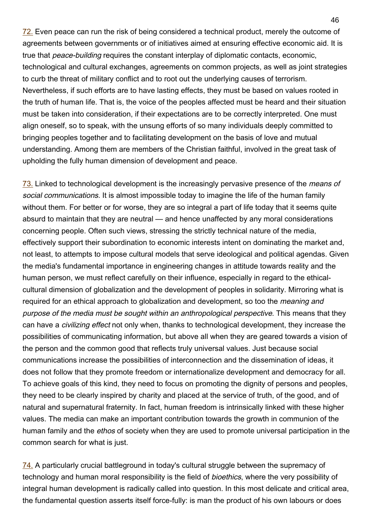72. Even peace can run the risk of being considered a technical product, merely the outcome of agreements between governments or of initiatives aimed at ensuring effective economic aid. It is true that peace-building requires the constant interplay of diplomatic contacts, economic, technological and cultural exchanges, agreements on common projects, as well as joint strategies to curb the threat of military conflict and to root out the underlying causes of terrorism. Nevertheless, if such efforts are to have lasting effects, they must be based on values rooted in the truth of human life. That is, the voice of the peoples affected must be heard and their situation must be taken into consideration, if their expectations are to be correctly interpreted. One must align oneself, so to speak, with the unsung efforts of so many individuals deeply committed to bringing peoples together and to facilitating development on the basis of love and mutual understanding. Among them are members of the Christian faithful, involved in the great task of upholding the fully human dimension of development and peace.

73. Linked to technological development is the increasingly pervasive presence of the means of social communications. It is almost impossible today to imagine the life of the human family without them. For better or for worse, they are so integral a part of life today that it seems quite absurd to maintain that they are neutral — and hence unaffected by any moral considerations concerning people. Often such views, stressing the strictly technical nature of the media, effectively support their subordination to economic interests intent on dominating the market and, not least, to attempts to impose cultural models that serve ideological and political agendas. Given the media's fundamental importance in engineering changes in attitude towards reality and the human person, we must reflect carefully on their influence, especially in regard to the ethicalcultural dimension of globalization and the development of peoples in solidarity. Mirroring what is required for an ethical approach to globalization and development, so too the meaning and purpose of the media must be sought within an anthropological perspective. This means that they can have a civilizing effect not only when, thanks to technological development, they increase the possibilities of communicating information, but above all when they are geared towards a vision of the person and the common good that reflects truly universal values. Just because social communications increase the possibilities of interconnection and the dissemination of ideas, it does not follow that they promote freedom or internationalize development and democracy for all. To achieve goals of this kind, they need to focus on promoting the dignity of persons and peoples, they need to be clearly inspired by charity and placed at the service of truth, of the good, and of natural and supernatural fraternity. In fact, human freedom is intrinsically linked with these higher values. The media can make an important contribution towards the growth in communion of the human family and the *ethos* of society when they are used to promote universal participation in the common search for what is just.

74. A particularly crucial battleground in today's cultural struggle between the supremacy of technology and human moral responsibility is the field of *bioethics*, where the very possibility of integral human development is radically called into question. In this most delicate and critical area, the fundamental question asserts itself force-fully: is man the product of his own labours or does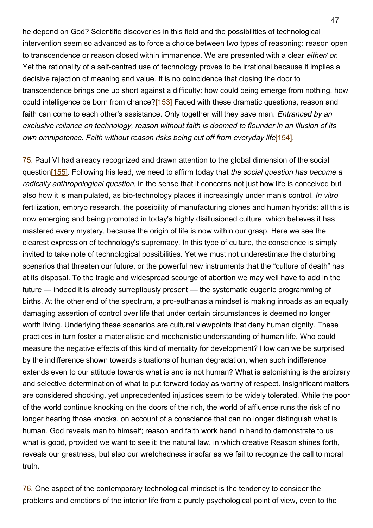he depend on God? Scientific discoveries in this field and the possibilities of technological intervention seem so advanced as to force a choice between two types of reasoning: reason open to transcendence or reason closed within immanence. We are presented with a clear either/ or. Yet the rationality of a self-centred use of technology proves to be irrational because it implies a decisive rejection of meaning and value. It is no coincidence that closing the door to transcendence brings one up short against a difficulty: how could being emerge from nothing, how could intelligence be born from chance?[153] Faced with these dramatic questions, reason and faith can come to each other's assistance. Only together will they save man. *Entranced by an* exclusive reliance on technology, reason without faith is doomed to flounder in an illusion of its own omnipotence. Faith without reason risks being cut off from everyday life<sup>[154]</sup>.

75. Paul VI had already recognized and drawn attention to the global dimension of the social question<sup>[155]</sup>. Following his lead, we need to affirm today that the social question has become a radically anthropological question, in the sense that it concerns not just how life is conceived but also how it is manipulated, as bio-technology places it increasingly under man's control. In vitro fertilization, embryo research, the possibility of manufacturing clones and human hybrids: all this is now emerging and being promoted in today's highly disillusioned culture, which believes it has mastered every mystery, because the origin of life is now within our grasp. Here we see the clearest expression of technology's supremacy. In this type of culture, the conscience is simply invited to take note of technological possibilities. Yet we must not underestimate the disturbing scenarios that threaten our future, or the powerful new instruments that the "culture of death" has at its disposal. To the tragic and widespread scourge of abortion we may well have to add in the future — indeed it is already surreptiously present — the systematic eugenic programming of births. At the other end of the spectrum, a pro-euthanasia mindset is making inroads as an equally damaging assertion of control over life that under certain circumstances is deemed no longer worth living. Underlying these scenarios are cultural viewpoints that deny human dignity. These practices in turn foster a materialistic and mechanistic understanding of human life. Who could measure the negative effects of this kind of mentality for development? How can we be surprised by the indifference shown towards situations of human degradation, when such indifference extends even to our attitude towards what is and is not human? What is astonishing is the arbitrary and selective determination of what to put forward today as worthy of respect. Insignificant matters are considered shocking, yet unprecedented injustices seem to be widely tolerated. While the poor of the world continue knocking on the doors of the rich, the world of affluence runs the risk of no longer hearing those knocks, on account of a conscience that can no longer distinguish what is human. God reveals man to himself; reason and faith work hand in hand to demonstrate to us what is good, provided we want to see it; the natural law, in which creative Reason shines forth, reveals our greatness, but also our wretchedness insofar as we fail to recognize the call to moral truth.

76. One aspect of the contemporary technological mindset is the tendency to consider the problems and emotions of the interior life from a purely psychological point of view, even to the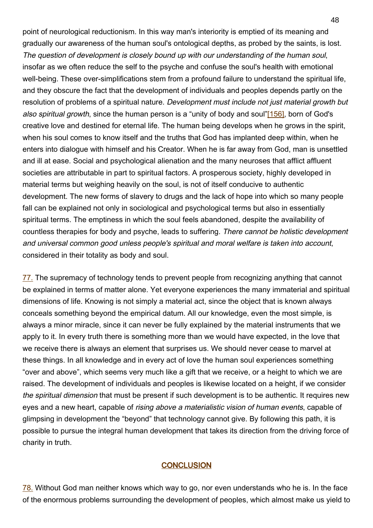point of neurological reductionism. In this way man's interiority is emptied of its meaning and gradually our awareness of the human soul's ontological depths, as probed by the saints, is lost. The question of development is closely bound up with our understanding of the human soul, insofar as we often reduce the self to the psyche and confuse the soul's health with emotional well-being. These over-simplifications stem from a profound failure to understand the spiritual life, and they obscure the fact that the development of individuals and peoples depends partly on the resolution of problems of a spiritual nature. Development must include not just material growth but also spiritual growth, since the human person is a "unity of body and soul"[156], born of God's creative love and destined for eternal life. The human being develops when he grows in the spirit, when his soul comes to know itself and the truths that God has implanted deep within, when he enters into dialogue with himself and his Creator. When he is far away from God, man is unsettled and ill at ease. Social and psychological alienation and the many neuroses that afflict affluent societies are attributable in part to spiritual factors. A prosperous society, highly developed in material terms but weighing heavily on the soul, is not of itself conducive to authentic development. The new forms of slavery to drugs and the lack of hope into which so many people fall can be explained not only in sociological and psychological terms but also in essentially spiritual terms. The emptiness in which the soul feels abandoned, despite the availability of countless therapies for body and psyche, leads to suffering. There cannot be holistic development and universal common good unless people's spiritual and moral welfare is taken into account, considered in their totality as body and soul.

77. The supremacy of technology tends to prevent people from recognizing anything that cannot be explained in terms of matter alone. Yet everyone experiences the many immaterial and spiritual dimensions of life. Knowing is not simply a material act, since the object that is known always conceals something beyond the empirical datum. All our knowledge, even the most simple, is always a minor miracle, since it can never be fully explained by the material instruments that we apply to it. In every truth there is something more than we would have expected, in the love that we receive there is always an element that surprises us. We should never cease to marvel at these things. In all knowledge and in every act of love the human soul experiences something "over and above", which seems very much like a gift that we receive, or a height to which we are raised. The development of individuals and peoples is likewise located on a height, if we consider the spiritual dimension that must be present if such development is to be authentic. It requires new eyes and a new heart, capable of rising above a materialistic vision of human events, capable of glimpsing in development the "beyond" that technology cannot give. By following this path, it is possible to pursue the integral human development that takes its direction from the driving force of charity in truth.

#### **CONCLUSION**

78. Without God man neither knows which way to go, nor even understands who he is. In the face of the enormous problems surrounding the development of peoples, which almost make us yield to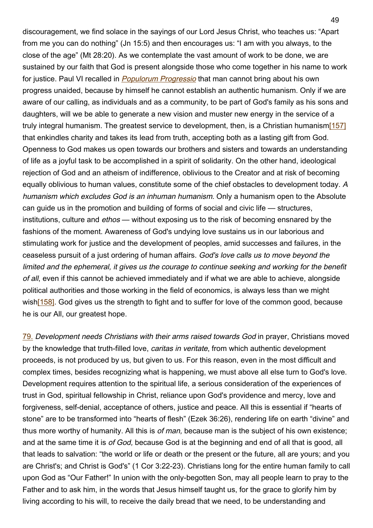discouragement, we find solace in the sayings of our Lord Jesus Christ, who teaches us: "Apart from me you can do nothing" (Jn 15:5) and then encourages us: "I am with you always, to the close of the age" (Mt 28:20). As we contemplate the vast amount of work to be done, we are sustained by our faith that God is present alongside those who come together in his name to work for justice. Paul VI recalled in *[Populorum Progressio](http://w2.vatican.va/content/paul-vi/en/encyclicals/documents/hf_p-vi_enc_26031967_populorum.html)* that man cannot bring about his own progress unaided, because by himself he cannot establish an authentic humanism. Only if we are aware of our calling, as individuals and as a community, to be part of God's family as his sons and daughters, will we be able to generate a new vision and muster new energy in the service of a truly integral humanism. The greatest service to development, then, is a Christian humanism[157] that enkindles charity and takes its lead from truth, accepting both as a lasting gift from God. Openness to God makes us open towards our brothers and sisters and towards an understanding of life as a joyful task to be accomplished in a spirit of solidarity. On the other hand, ideological rejection of God and an atheism of indifference, oblivious to the Creator and at risk of becoming equally oblivious to human values, constitute some of the chief obstacles to development today. A humanism which excludes God is an inhuman humanism. Only a humanism open to the Absolute can guide us in the promotion and building of forms of social and civic life — structures, institutions, culture and ethos — without exposing us to the risk of becoming ensnared by the fashions of the moment. Awareness of God's undying love sustains us in our laborious and stimulating work for justice and the development of peoples, amid successes and failures, in the ceaseless pursuit of a just ordering of human affairs. God's love calls us to move beyond the limited and the ephemeral, it gives us the courage to continue seeking and working for the benefit of all, even if this cannot be achieved immediately and if what we are able to achieve, alongside political authorities and those working in the field of economics, is always less than we might wish $[158]$ . God gives us the strength to fight and to suffer for love of the common good, because he is our All, our greatest hope.

79. Development needs Christians with their arms raised towards God in prayer, Christians moved by the knowledge that truth-filled love, *caritas in veritate*, from which authentic development proceeds, is not produced by us, but given to us. For this reason, even in the most difficult and complex times, besides recognizing what is happening, we must above all else turn to God's love. Development requires attention to the spiritual life, a serious consideration of the experiences of trust in God, spiritual fellowship in Christ, reliance upon God's providence and mercy, love and forgiveness, self-denial, acceptance of others, justice and peace. All this is essential if "hearts of stone" are to be transformed into "hearts of flesh" (Ezek 36:26), rendering life on earth "divine" and thus more worthy of humanity. All this is of man, because man is the subject of his own existence; and at the same time it is of God, because God is at the beginning and end of all that is good, all that leads to salvation: "the world or life or death or the present or the future, all are yours; and you are Christ's; and Christ is God's" (1 Cor 3:22-23). Christians long for the entire human family to call upon God as "Our Father!" In union with the only-begotten Son, may all people learn to pray to the Father and to ask him, in the words that Jesus himself taught us, for the grace to glorify him by living according to his will, to receive the daily bread that we need, to be understanding and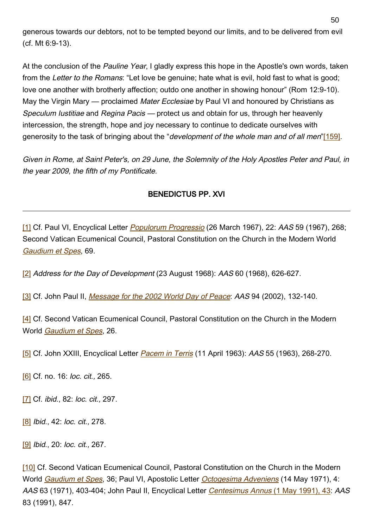generous towards our debtors, not to be tempted beyond our limits, and to be delivered from evil (cf. Mt 6:9-13).

At the conclusion of the Pauline Year, I gladly express this hope in the Apostle's own words, taken from the Letter to the Romans: "Let love be genuine; hate what is evil, hold fast to what is good; love one another with brotherly affection; outdo one another in showing honour" (Rom 12:9-10). May the Virgin Mary — proclaimed Mater Ecclesiae by Paul VI and honoured by Christians as Speculum Iustitiae and Regina Pacis — protect us and obtain for us, through her heavenly intercession, the strength, hope and joy necessary to continue to dedicate ourselves with generosity to the task of bringing about the "*development of the whole man and of all men*<sup>"[159]</sup>.

Given in Rome, at Saint Peter's, on 29 June, the Solemnity of the Holy Apostles Peter and Paul, in the year 2009, the fifth of my Pontificate.

## BENEDICTUS PP. XVI

[1] Cf. Paul VI, Encyclical Letter *[Populorum Progressio](http://w2.vatican.va/content/paul-vi/en/encyclicals/documents/hf_p-vi_enc_26031967_populorum.html)* (26 March 1967), 22: AAS 59 (1967), 268; Second Vatican Ecumenical Council, Pastoral Constitution on the Church in the Modern World [Gaudium et Spes](http://www.vatican.va/archive/hist_councils/ii_vatican_council/documents/vat-ii_const_19651207_gaudium-et-spes_en.html), 69.

[2] Address for the Day of Development (23 August 1968): AAS 60 (1968), 626-627.

[3] Cf. John Paul II, [Message for the 2002 World Day of Peace](http://w2.vatican.va/content/john-paul-ii/en/messages/peace/documents/hf_jp-ii_mes_20011211_xxxv-world-day-for-peace.html): AAS 94 (2002), 132-140.

[4] Cf. Second Vatican Ecumenical Council, Pastoral Constitution on the Church in the Modern World [Gaudium et Spes](http://www.vatican.va/archive/hist_councils/ii_vatican_council/documents/vat-ii_const_19651207_gaudium-et-spes_en.html), 26.

[5] Cf. John XXIII, Encyclical Letter *[Pacem in Terris](http://w2.vatican.va/content/john-xxiii/en/encyclicals/documents/hf_j-xxiii_enc_11041963_pacem.html)* (11 April 1963): AAS 55 (1963), 268-270.

[6] Cf. no. 16: *loc. cit.*, 265.

[7] Cf. *ibid.*, 82: loc. cit., 297.

[8] Ibid., 42: loc. cit., 278.

[9] *Ibid.*, 20: *loc. cit.*, 267.

[10] Cf. Second Vatican Ecumenical Council, Pastoral Constitution on the Church in the Modern World [Gaudium et Spes](http://www.vatican.va/archive/hist_councils/ii_vatican_council/documents/vat-ii_const_19651207_gaudium-et-spes_en.html), 36; Paul VI, Apostolic Letter [Octogesima Adveniens](http://w2.vatican.va/content/paul-vi/en/apost_letters/documents/hf_p-vi_apl_19710514_octogesima-adveniens.html) (14 May 1971), 4: AAS 63 (1971), 403-404; John Paul II, Encyclical Letter [Centesimus Annus](http://www.vatican.va/edocs/ENG0214/__P6.HTM) [\(1 May 1991\), 43](http://www.vatican.va/edocs/ENG0214/__P6.HTM): AAS 83 (1991), 847.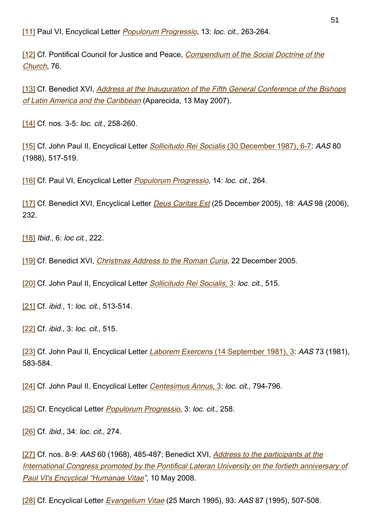[11] Paul VI, Encyclical Letter [Populorum Progressio](http://w2.vatican.va/content/paul-vi/en/encyclicals/documents/hf_p-vi_enc_26031967_populorum.html), 13: loc. cit., 263-264.

[12] Cf. Pontifical Council for Justice and Peace, [Compendium of the Social Doctrine of the](http://www.vatican.va/roman_curia/pontifical_councils/justpeace/documents/rc_pc_justpeace_doc_20060526_compendio-dott-soc_en.html#In%20friendly%20dialogue%20with%20all%20branches%20of%20knowledge) [Church](http://www.vatican.va/roman_curia/pontifical_councils/justpeace/documents/rc_pc_justpeace_doc_20060526_compendio-dott-soc_en.html#In%20friendly%20dialogue%20with%20all%20branches%20of%20knowledge), 76.

[13] Cf. Benedict XVI, [Address at the Inauguration of the Fifth General Conference of the Bishops](http://w2.vatican.va/content/benedict-xvi/en/speeches/2007/may/documents/hf_ben-xvi_spe_20070513_conference-aparecida.html) [of Latin America and the Caribbean](http://w2.vatican.va/content/benedict-xvi/en/speeches/2007/may/documents/hf_ben-xvi_spe_20070513_conference-aparecida.html) (Aparecida, 13 May 2007).

[14] Cf. nos. 3-5: *loc. cit.*, 258-260.

[15] Cf. John Paul II, Encyclical Letter Sollicitudo Rei Socialis [\(30 December 1987\), 6-7:](http://www.vatican.va/edocs/ENG0223/__P3.HTM) AAS 80 (1988), 517-519.

[16] Cf. Paul VI, Encyclical Letter *[Populorum Progressio](http://w2.vatican.va/content/paul-vi/en/encyclicals/documents/hf_p-vi_enc_26031967_populorum.html)*, 14: loc. cit., 264.

[17] Cf. Benedict XVI, Encyclical Letter *[Deus Caritas Est](http://w2.vatican.va/content/benedict-xvi/en/encyclicals/documents/hf_ben-xvi_enc_20051225_deus-caritas-est.html)* (25 December 2005), 18: AAS 98 (2006), 232.

[18] Ibid., 6: loc cit., 222.

[19] Cf. Benedict XVI, [Christmas Address to the Roman Curia](http://w2.vatican.va/content/benedict-xvi/en/speeches/2005/december/documents/hf_ben_xvi_spe_20051222_roman-curia.html), 22 December 2005.

[20] Cf. John Paul II, Encyclical Letter [Sollicitudo Rei Socialis](http://w2.vatican.va/content/john-paul-ii/en/encyclicals/documents/hf_jp-ii_enc_30121987_sollicitudo-rei-socialis.html)[, 3](http://w2.vatican.va/content/john-paul-ii/en/encyclicals/documents/hf_jp-ii_enc_30121987_sollicitudo-rei-socialis.html): loc. cit., 515.

[21] Cf. ibid., 1: loc. cit., 513-514.

[22] Cf. *ibid.*, 3: *loc. cit.*, 515.

<u>[23</u>] Cf. John Paul II, Encyclical Letter <u>[Laborem Exercens](http://www.vatican.va/edocs/ENG0217/__P4.HTM) [\(14 September 1981\), 3](http://www.vatican.va/edocs/ENG0217/__P4.HTM)</u>: AAS 73 (1981), 583-584.

[24] Cf. John Paul II, Encyclical Letter [Centesimus Annus](http://www.vatican.va/edocs/ENG0214/__P2.HTM)[, 3:](http://www.vatican.va/edocs/ENG0214/__P2.HTM) loc. cit., 794-796.

[25] Cf. Encyclical Letter [Populorum Progressio](http://w2.vatican.va/content/paul-vi/en/encyclicals/documents/hf_p-vi_enc_26031967_populorum.html), 3: loc. cit., 258.

[26] Cf. ibid., 34: loc. cit., 274.

[27] Cf. nos. 8-9: AAS 60 (1968), 485-487; Benedict XVI, [Address to the participants at the](http://w2.vatican.va/content/benedict-xvi/en/speeches/2008/may/documents/hf_ben-xvi_spe_20080510_humanae-vitae.html) [International Congress promoted by the Pontifical Lateran University on the fortieth anniversary of](http://w2.vatican.va/content/benedict-xvi/en/speeches/2008/may/documents/hf_ben-xvi_spe_20080510_humanae-vitae.html) [Paul VI's Encyclical "Humanae Vitae](http://w2.vatican.va/content/benedict-xvi/en/speeches/2008/may/documents/hf_ben-xvi_spe_20080510_humanae-vitae.html)", 10 May 2008.

[28] Cf. Encyclical Letter [Evangelium Vitae](http://w2.vatican.va/content/john-paul-ii/en/encyclicals/documents/hf_jp-ii_enc_25031995_evangelium-vitae.html) (25 March 1995), 93: AAS 87 (1995), 507-508.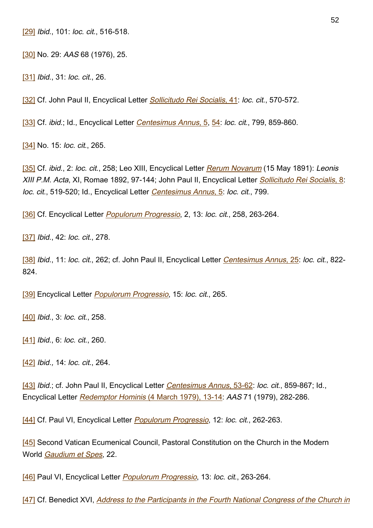[29] Ibid., 101: loc. cit., 516-518.

[30] No. 29: AAS 68 (1976), 25.

[31] Ibid., 31: loc. cit., 26.

[32] Cf. John Paul II, Encyclical Letter Sollicitudo Rei Socialis[, 41](http://www.vatican.va/edocs/ENG0223/__P7.HTM): loc. cit., 570-572.

[33] Cf. *ibid.*; Id., Encyclical Letter *Centesimus Annus*, [5](http://www.vatican.va/edocs/ENG0214/__P3.HTM), [54](http://www.vatican.va/edocs/ENG0214/__P8.HTM): loc. cit., 799, 859-860.

[34] No. 15: loc. cit., 265.

[35] Cf. ibid., 2: loc. cit., 258; Leo XIII, Encyclical Letter [Rerum Novarum](http://w2.vatican.va/content/leo-xiii/en/encyclicals/documents/hf_l-xiii_enc_15051891_rerum-novarum.html) (15 May 1891): Leonis XIII P.M. Acta, XI, Romae 1892, 97-144; John Paul II, Encyclical Letter Sollicitudo Rei Socialis[, 8:](http://www.vatican.va/edocs/ENG0223/__P3.HTM) loc. cit., 519-520; Id., Encyclical Letter [Centesimus Annus](http://www.vatican.va/edocs/ENG0214/__P3.HTM)[, 5](http://www.vatican.va/edocs/ENG0214/__P3.HTM): loc. cit., 799.

[36] Cf. Encyclical Letter *[Populorum Progressio](http://w2.vatican.va/content/paul-vi/en/encyclicals/documents/hf_p-vi_enc_26031967_populorum.html)*, 2, 13: *loc. cit.*, 258, 263-264.

[37] Ibid., 42: loc. cit., 278.

[38] Ibid., 11: loc. cit., 262; cf. John Paul II, Encyclical Letter Centesimus Annus[, 25](http://www.vatican.va/edocs/ENG0214/__P5.HTM): loc. cit., 822-824.

[39] Encyclical Letter *[Populorum Progressio](http://w2.vatican.va/content/paul-vi/en/encyclicals/documents/hf_p-vi_enc_26031967_populorum.html)*, 15: loc. cit., 265.

[40] Ibid., 3: loc. cit., 258.

[41] Ibid., 6: loc. cit., 260.

[42] Ibid., 14: loc. cit., 264.

[43] Ibid.; cf. John Paul II, Encyclical Letter [Centesimus Annus](http://www.vatican.va/edocs/ENG0214/__P8.HTM)[, 53-62](http://www.vatican.va/edocs/ENG0214/__P8.HTM): loc. cit., 859-867; Id., Encyclical Letter [Redemptor Hominis](http://www.vatican.va/edocs/ENG0218/__PE.HTM) [\(4 March 1979\), 13-14:](http://www.vatican.va/edocs/ENG0218/__PE.HTM) AAS 71 (1979), 282-286.

[44] Cf. Paul VI, Encyclical Letter *[Populorum Progressio](http://w2.vatican.va/content/paul-vi/en/encyclicals/documents/hf_p-vi_enc_26031967_populorum.html)*, 12: loc. cit., 262-263.

[45] Second Vatican Ecumenical Council, Pastoral Constitution on the Church in the Modern World [Gaudium et Spes](http://www.vatican.va/archive/hist_councils/ii_vatican_council/documents/vat-ii_const_19651207_gaudium-et-spes_en.html), 22.

[46] Paul VI, Encyclical Letter [Populorum Progressio](http://w2.vatican.va/content/paul-vi/en/encyclicals/documents/hf_p-vi_enc_26031967_populorum.html), 13: loc. cit., 263-264.

[47] Cf. Benedict XVI, [Address to the Participants in the Fourth National Congress of the Church in](http://w2.vatican.va/content/benedict-xvi/en/speeches/2006/october/documents/hf_ben-xvi_spe_20061019_convegno-verona.html)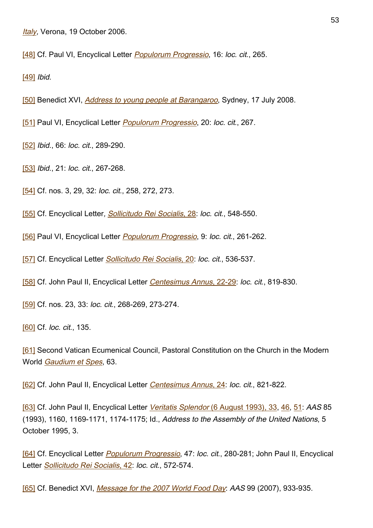[48] Cf. Paul VI, Encyclical Letter [Populorum Progressio](http://w2.vatican.va/content/paul-vi/en/encyclicals/documents/hf_p-vi_enc_26031967_populorum.html), 16: loc. cit., 265.

[49] *Ibid.* 

[50] Benedict XVI, *[Address to young people at Barangaroo](http://w2.vatican.va/content/benedict-xvi/en/speeches/2008/july/documents/hf_ben-xvi_spe_20080717_barangaroo.html)*, Sydney, 17 July 2008.

[51] Paul VI, Encyclical Letter *[Populorum Progressio](http://w2.vatican.va/content/paul-vi/en/encyclicals/documents/hf_p-vi_enc_26031967_populorum.html)*, 20: loc. cit., 267.

[52] Ibid., 66: loc. cit., 289-290.

[53] Ibid., 21: loc. cit., 267-268.

[54] Cf. nos. 3, 29, 32: loc. cit., 258, 272, 273.

[55] Cf. Encyclical Letter, [Sollicitudo Rei Socialis](http://www.vatican.va/edocs/ENG0223/__P5.HTM)[, 28:](http://www.vatican.va/edocs/ENG0223/__P5.HTM) loc. cit., 548-550.

[56] Paul VI, Encyclical Letter [Populorum Progressio](http://w2.vatican.va/content/paul-vi/en/encyclicals/documents/hf_p-vi_enc_26031967_populorum.html), 9: loc. cit., 261-262.

[57] Cf. Encyclical Letter Sollicitudo Rei Socialis[, 20](http://www.vatican.va/edocs/ENG0223/__P4.HTM): loc. cit., 536-537.

[58] Cf. John Paul II, Encyclical Letter [Centesimus Annus](http://www.vatican.va/edocs/ENG0214/__P5.HTM)[, 22-29:](http://www.vatican.va/edocs/ENG0214/__P5.HTM) loc. cit., 819-830.

[59] Cf. nos. 23, 33: loc. cit., 268-269, 273-274.

[60] Cf. loc. cit., 135.

[61] Second Vatican Ecumenical Council, Pastoral Constitution on the Church in the Modern World [Gaudium et Spes](http://www.vatican.va/archive/hist_councils/ii_vatican_council/documents/vat-ii_const_19651207_gaudium-et-spes_en.html), 63.

[62] Cf. John Paul II, Encyclical Letter *[Centesimus Annus](http://www.vatican.va/edocs/ENG0214/__P5.HTM)*[, 24](http://www.vatican.va/edocs/ENG0214/__P5.HTM): loc. cit., 821-822.

[63] Cf. John Paul II, Encyclical Letter [Veritatis Splendor](http://www.vatican.va/edocs/ENG0222/__P4.HTM) [\(6 August 1993\), 33,](http://www.vatican.va/edocs/ENG0222/__P4.HTM) [46,](http://www.vatican.va/edocs/ENG0222/__P5.HTM) [51:](http://www.vatican.va/edocs/ENG0222/__P5.HTM) AAS 85 (1993), 1160, 1169-1171, 1174-1175; Id., Address to the Assembly of the United Nations, 5 October 1995, 3.

[64] Cf. Encyclical Letter *[Populorum Progressio](http://w2.vatican.va/content/paul-vi/en/encyclicals/documents/hf_p-vi_enc_26031967_populorum.html)*, 47: loc. cit., 280-281; John Paul II, Encyclical Letter [Sollicitudo Rei Socialis](http://www.vatican.va/edocs/ENG0223/__P7.HTM)[, 42:](http://www.vatican.va/edocs/ENG0223/__P7.HTM) loc. cit., 572-574.

[65] Cf. Benedict XVI, *[Message for the 2007 World Food Day](http://w2.vatican.va/content/benedict-xvi/en/messages/food/documents/hf_ben-xvi_mes_20071004_world-food-day-2007.html)*: AAS 99 (2007), 933-935.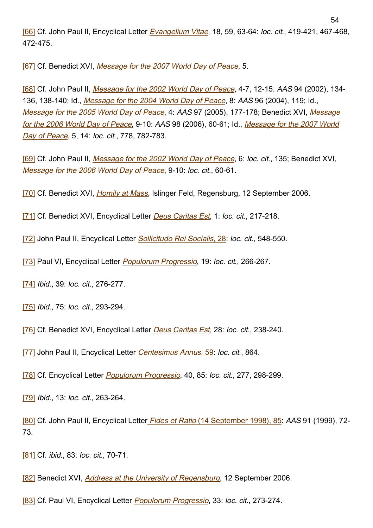[66] Cf. John Paul II, Encyclical Letter [Evangelium Vitae](http://w2.vatican.va/content/john-paul-ii/en/encyclicals/documents/hf_jp-ii_enc_25031995_evangelium-vitae.html), 18, 59, 63-64: loc. cit., 419-421, 467-468, 472-475.

[67] Cf. Benedict XVI, [Message for the 2007 World Day of Peace](http://w2.vatican.va/content/benedict-xvi/en/messages/peace/documents/hf_ben-xvi_mes_20061208_xl-world-day-peace.html), 5.

[68] Cf. John Paul II, [Message for the 2002 World Day of Peace](http://w2.vatican.va/content/john-paul-ii/en/messages/peace/documents/hf_jp-ii_mes_20011211_xxxv-world-day-for-peace.html), 4-7, 12-15: AAS 94 (2002), 134-136, 138-140; Id., [Message for the 2004 World Day of Peace](http://w2.vatican.va/content/john-paul-ii/en/messages/peace/documents/hf_jp-ii_mes_20031216_xxxvii-world-day-for-peace.html), 8: AAS 96 (2004), 119; Id., [Message for the 2005 World Day of Peace](http://w2.vatican.va/content/john-paul-ii/en/messages/peace/documents/hf_jp-ii_mes_20041216_xxxviii-world-day-for-peace.html), 4: AAS 97 (2005), 177-178; Benedict XVI, [Message](http://w2.vatican.va/content/benedict-xvi/en/messages/peace/documents/hf_ben-xvi_mes_20051213_xxxix-world-day-peace.html) [for the 2006 World Day of Peace](http://w2.vatican.va/content/benedict-xvi/en/messages/peace/documents/hf_ben-xvi_mes_20051213_xxxix-world-day-peace.html), 9-10: AAS 98 (2006), 60-61; Id., [Message for the 2007 World](http://w2.vatican.va/content/benedict-xvi/en/messages/peace/documents/hf_ben-xvi_mes_20061208_xl-world-day-peace.html) [Day of Peace](http://w2.vatican.va/content/benedict-xvi/en/messages/peace/documents/hf_ben-xvi_mes_20061208_xl-world-day-peace.html), 5, 14: loc. cit., 778, 782-783.

[69] Cf. John Paul II, [Message for the 2002 World Day of Peace](http://w2.vatican.va/content/john-paul-ii/en/messages/peace/documents/hf_jp-ii_mes_20011211_xxxv-world-day-for-peace.html), 6: loc. cit., 135; Benedict XVI, [Message for the 2006 World Day of Peace](http://w2.vatican.va/content/benedict-xvi/en/messages/peace/documents/hf_ben-xvi_mes_20051213_xxxix-world-day-peace.html), 9-10: loc. cit., 60-61.

[70] Cf. Benedict XVI, *[Homily at Mass](http://w2.vatican.va/content/benedict-xvi/en/homilies/2006/documents/hf_ben-xvi_hom_20060912_regensburg.html)*, Islinger Feld, Regensburg, 12 September 2006.

[71] Cf. Benedict XVI, Encyclical Letter *[Deus Caritas Est](http://w2.vatican.va/content/benedict-xvi/en/encyclicals/documents/hf_ben-xvi_enc_20051225_deus-caritas-est.html)*, 1: loc. cit., 217-218.

[72] John Paul II, Encyclical Letter [Sollicitudo Rei Socialis](http://www.vatican.va/edocs/ENG0223/__P5.HTM)[, 28:](http://www.vatican.va/edocs/ENG0223/__P5.HTM) loc. cit., 548-550.

[73] Paul VI, Encyclical Letter *[Populorum Progressio](http://w2.vatican.va/content/paul-vi/en/encyclicals/documents/hf_p-vi_enc_26031967_populorum.html)*, 19: loc. cit., 266-267.

[74] Ibid., 39: loc. cit., 276-277.

[75] Ibid., 75: loc. cit., 293-294.

[76] Cf. Benedict XVI, Encyclical Letter *[Deus Caritas Est](http://w2.vatican.va/content/benedict-xvi/en/encyclicals/documents/hf_ben-xvi_enc_20051225_deus-caritas-est.html)*, 28: loc. cit., 238-240.

[77] John Paul II, Encyclical Letter *[Centesimus Annus](http://www.vatican.va/edocs/ENG0214/__P8.HTM)*[, 59:](http://www.vatican.va/edocs/ENG0214/__P8.HTM) loc. cit., 864.

[78] Cf. Encyclical Letter *[Populorum Progressio](http://w2.vatican.va/content/paul-vi/en/encyclicals/documents/hf_p-vi_enc_26031967_populorum.html)*, 40, 85: loc. cit., 277, 298-299.

[79] Ibid., 13: loc. cit., 263-264.

[80] Cf. John Paul II, Encyclical Lette[r](http://w2.vatican.va/content/john-paul-ii/en/encyclicals/documents/hf_jp-ii_enc_14091998_fides-et-ratio.html) [Fides et Ratio](http://www.vatican.va/edocs/ENG0216/__PG.HTM) [\(14 September 1998\), 85](http://www.vatican.va/edocs/ENG0216/__PG.HTM): AAS 91 (1999), 72-73.

[81] Cf. ibid., 83: loc. cit., 70-71.

[82] Benedict XVI, [Address at the University of Regensburg](http://w2.vatican.va/content/benedict-xvi/en/speeches/2006/september/documents/hf_ben-xvi_spe_20060912_university-regensburg.html), 12 September 2006.

[83] Cf. Paul VI, Encyclical Letter [Populorum Progressio](http://w2.vatican.va/content/paul-vi/en/encyclicals/documents/hf_p-vi_enc_26031967_populorum.html), 33: loc. cit., 273-274.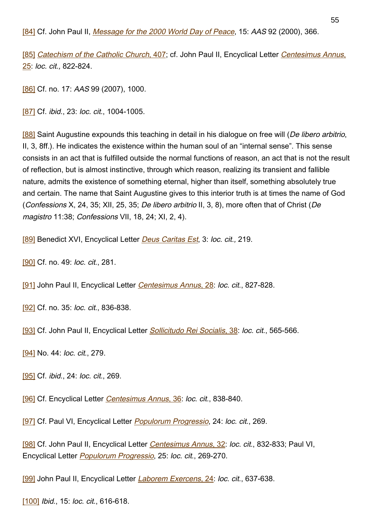[84] Cf. John Paul II, [Message for the 2000 World Day of Peace](http://w2.vatican.va/content/john-paul-ii/en/messages/peace/documents/hf_jp-ii_mes_08121999_xxxiii-world-day-for-peace.html), 15: AAS 92 (2000), 366.

[85] [Catechism of the Catholic Church](http://www.vatican.va/archive/ENG0015/__P1C.HTM)[, 407;](http://www.vatican.va/archive/ENG0015/__P1C.HTM) cf. John Paul II, Encyclical Letter [Centesimus Annus](http://www.vatican.va/edocs/ENG0214/__P5.HTM)[,](http://www.vatican.va/edocs/ENG0214/__P5.HTM) [25](http://www.vatican.va/edocs/ENG0214/__P5.HTM): loc. cit., 822-824.

[86] Cf. no. 17: AAS 99 (2007), 1000.

[87] Cf. *ibid.*, 23: *loc. cit.*, 1004-1005.

[88] Saint Augustine expounds this teaching in detail in his dialogue on free will (De libero arbitrio, II, 3, 8ff.). He indicates the existence within the human soul of an "internal sense". This sense consists in an act that is fulfilled outside the normal functions of reason, an act that is not the result of reflection, but is almost instinctive, through which reason, realizing its transient and fallible nature, admits the existence of something eternal, higher than itself, something absolutely true and certain. The name that Saint Augustine gives to this interior truth is at times the name of God (Confessions X, 24, 35; XII, 25, 35; De libero arbitrio II, 3, 8), more often that of Christ (De magistro 11:38; Confessions VII, 18, 24; XI, 2, 4).

[89] Benedict XVI, Encyclical Letter [Deus Caritas Est](http://w2.vatican.va/content/benedict-xvi/en/encyclicals/documents/hf_ben-xvi_enc_20051225_deus-caritas-est.html), 3: loc. cit., 219.

[90] Cf. no. 49: *loc. cit.*, 281.

[91] John Paul II, Encyclical Letter *[Centesimus Annus](http://www.vatican.va/edocs/ENG0214/__P5.HTM)*[, 28:](http://www.vatican.va/edocs/ENG0214/__P5.HTM) loc. cit., 827-828.

[92] Cf. no. 35: *loc. cit.*, 836-838.

[93] Cf. John Paul II, Encyclical Letter Sollicitudo Rei Socialis[, 38](http://www.vatican.va/edocs/ENG0223/__P6.HTM): loc. cit., 565-566.

[94] No. 44: *loc. cit.*, 279.

[95] Cf. *ibid.*, 24: *loc. cit.*, 269.

[96] Cf. Encyclical Letter *Centesimus Annus*[, 36](http://www.vatican.va/edocs/ENG0214/__P6.HTM): loc. cit., 838-840.

[97] Cf. Paul VI, Encyclical Letter *[Populorum Progressio](http://w2.vatican.va/content/paul-vi/en/encyclicals/documents/hf_p-vi_enc_26031967_populorum.html)*, 24: loc. cit., 269.

[98] Cf. John Paul II, Encyclical Letter Centesimus Annus[, 32](http://www.vatican.va/edocs/ENG0214/__P6.HTM): loc. cit., 832-833; Paul VI, Encyclical Letter [Populorum Progressio](http://w2.vatican.va/content/paul-vi/en/encyclicals/documents/hf_p-vi_enc_26031967_populorum.html), 25: loc. cit., 269-270.

[99] John Paul II, Encyclical Letter *[Laborem Exercens](http://www.vatican.va/edocs/ENG0217/__PP.HTM)*[, 24:](http://www.vatican.va/edocs/ENG0217/__PP.HTM) loc. cit., 637-638.

[100] Ibid., 15: loc. cit., 616-618.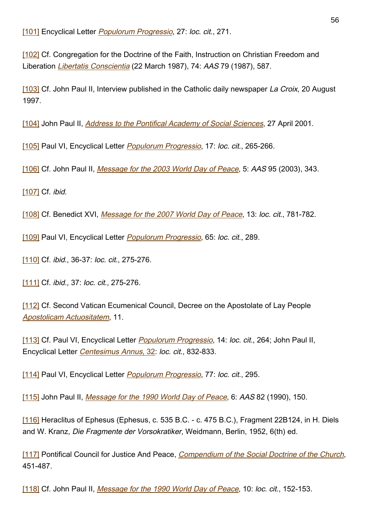[101] Encyclical Letter [Populorum Progressio](http://w2.vatican.va/content/paul-vi/en/encyclicals/documents/hf_p-vi_enc_26031967_populorum.html), 27: loc. cit., 271.

[102] Cf. Congregation for the Doctrine of the Faith, Instruction on Christian Freedom and Liberation [Libertatis Conscientia](http://www.vatican.va/roman_curia/congregations/cfaith/documents/rc_con_cfaith_doc_19860322_freedom-liberation_en.html) (22 March 1987), 74: AAS 79 (1987), 587.

[103] Cf. John Paul II, Interview published in the Catholic daily newspaper La Croix, 20 August 1997.

[104] John Paul II, [Address to the Pontifical Academy of Social Sciences](http://w2.vatican.va/content/john-paul-ii/en/speeches/2001/documents/hf_jp-ii_spe_20010427_pc-social-sciences.html), 27 April 2001.

[105] Paul VI, Encyclical Letter *[Populorum Progressio](http://w2.vatican.va/content/paul-vi/en/encyclicals/documents/hf_p-vi_enc_26031967_populorum.html)*, 17: loc. cit., 265-266.

[106] Cf. John Paul II, [Message for the 2003 World Day of Peace](http://w2.vatican.va/content/john-paul-ii/en/messages/peace/documents/hf_jp-ii_mes_20021217_xxxvi-world-day-for-peace.html), 5: AAS 95 (2003), 343.

[107] Cf. *ibid.* 

[108] Cf. Benedict XVI, [Message for the 2007 World Day of Peace](http://w2.vatican.va/content/benedict-xvi/en/messages/peace/documents/hf_ben-xvi_mes_20061208_xl-world-day-peace.html), 13: loc. cit., 781-782.

[109] Paul VI, Encyclical Letter [Populorum Progressio](http://w2.vatican.va/content/paul-vi/en/encyclicals/documents/hf_p-vi_enc_26031967_populorum.html), 65: loc. cit., 289.

[110] Cf. ibid., 36-37: loc. cit., 275-276.

[111] Cf. *ibid.*, 37: *loc. cit.*, 275-276.

[112] Cf. Second Vatican Ecumenical Council, Decree on the Apostolate of Lay People [Apostolicam Actuositatem](http://www.vatican.va/archive/hist_councils/ii_vatican_council/documents/vat-ii_decree_19651118_apostolicam-actuositatem_en.html), 11.

[113] Cf. Paul VI, Encyclical Letter *[Populorum Progressio](http://w2.vatican.va/content/paul-vi/en/encyclicals/documents/hf_p-vi_enc_26031967_populorum.html)*, 14: loc. cit., 264; John Paul II, Encyclical Letter Centesimus Annus[, 32](http://www.vatican.va/edocs/ENG0214/__P6.HTM): loc. cit., 832-833.

[114] Paul VI, Encyclical Letter [Populorum Progressio](http://w2.vatican.va/content/paul-vi/en/encyclicals/documents/hf_p-vi_enc_26031967_populorum.html), 77: loc. cit., 295.

[115] John Paul II, [Message for the 1990 World Day of Peace](http://w2.vatican.va/content/john-paul-ii/en/messages/peace/documents/hf_jp-ii_mes_19891208_xxiii-world-day-for-peace.html), 6: AAS 82 (1990), 150.

[116] Heraclitus of Ephesus (Ephesus, c. 535 B.C. - c. 475 B.C.), Fragment 22B124, in H. Diels and W. Kranz, Die Fragmente der Vorsokratiker, Weidmann, Berlin, 1952, 6(th) ed.

[117] Pontifical Council for Justice And Peace, [Compendium of the Social Doctrine of the Church](http://www.vatican.va/roman_curia/pontifical_councils/justpeace/documents/rc_pc_justpeace_doc_20060526_compendio-dott-soc_en.html#I.%20BIBLICAL%20ASPECTS), 451-487.

[118] Cf. John Paul II, [Message for the 1990 World Day of Peace](http://w2.vatican.va/content/john-paul-ii/en/messages/peace/documents/hf_jp-ii_mes_19891208_xxiii-world-day-for-peace.html), 10: loc. cit., 152-153.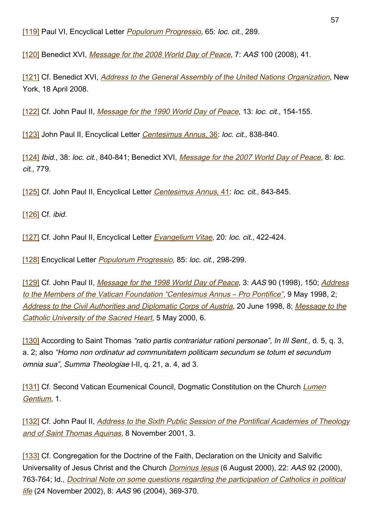[119] Paul VI, Encyclical Letter [Populorum Progressio](http://w2.vatican.va/content/paul-vi/en/encyclicals/documents/hf_p-vi_enc_26031967_populorum.html), 65: loc. cit., 289.

[120] Benedict XVI, [Message for the 2008 World Day of Peace](http://w2.vatican.va/content/benedict-xvi/en/messages/peace/documents/hf_ben-xvi_mes_20071208_xli-world-day-peace.html), 7: AAS 100 (2008), 41.

[121] Cf. Benedict XVI, *[Address to the General Assembly of the United Nations Organization](http://w2.vatican.va/content/benedict-xvi/en/speeches/2008/april/documents/hf_ben-xvi_spe_20080418_un-visit.html)*, New York, 18 April 2008.

[122] Cf. John Paul II, [Message for the 1990 World Day of Peace](http://w2.vatican.va/content/john-paul-ii/en/messages/peace/documents/hf_jp-ii_mes_19891208_xxiii-world-day-for-peace.html), 13: loc. cit., 154-155.

[123] John Paul II, Encyclical Letter [Centesimus Annus](http://www.vatican.va/edocs/ENG0214/__P6.HTM)[, 36](http://www.vatican.va/edocs/ENG0214/__P6.HTM): loc. cit., 838-840.

[124] Ibid., 38: loc. cit., 840-841; Benedict XVI, [Message for the 2007 World Day of Peace](http://w2.vatican.va/content/benedict-xvi/en/messages/peace/documents/hf_ben-xvi_mes_20061208_xl-world-day-peace.html), 8: loc. cit., 779.

[125] Cf. John Paul II, Encyclical Letter [Centesimus Annus](http://www.vatican.va/edocs/ENG0214/__P6.HTM)[, 41:](http://www.vatican.va/edocs/ENG0214/__P6.HTM) loc. cit., 843-845.

[126] Cf. *ibid.* 

[127] Cf. John Paul II, Encyclical Letter [Evangelium Vitae](http://w2.vatican.va/content/john-paul-ii/en/encyclicals/documents/hf_jp-ii_enc_25031995_evangelium-vitae.html), 20: loc. cit., 422-424.

[128] Encyclical Letter [Populorum Progressio](http://w2.vatican.va/content/paul-vi/en/encyclicals/documents/hf_p-vi_enc_26031967_populorum.html), 85: loc. cit., 298-299.

[129] Cf. John Paul II, [Message for the 1998 World Day of Peace](http://w2.vatican.va/content/john-paul-ii/en/messages/peace/documents/hf_jp-ii_mes_08121997_xxxi-world-day-for-peace.html), 3: AAS 90 (1998), 150; [Address](http://w2.vatican.va/content/john-paul-ii/en/speeches/1998/may/documents/hf_jp-ii_spe_09051998_fondazione-cent-annus.html) [to the Members of the Vatican Foundation "Centesimus Annus – Pro Pontifice"](http://w2.vatican.va/content/john-paul-ii/en/speeches/1998/may/documents/hf_jp-ii_spe_09051998_fondazione-cent-annus.html), 9 May 1998, 2; [Address to the Civil Authorities and Diplomatic Corps of Austria](http://w2.vatican.va/content/john-paul-ii/en/speeches/1998/june/documents/hf_jp-ii_spe_19980620_austria-autorita.html), 20 June 1998, 8; [Message to the](http://w2.vatican.va/content/john-paul-ii/en/speeches/2000/apr-jun/documents/hf_jp-ii_spe_20000505_sergio-zaninelli.html) [Catholic University of the Sacred Heart](http://w2.vatican.va/content/john-paul-ii/en/speeches/2000/apr-jun/documents/hf_jp-ii_spe_20000505_sergio-zaninelli.html), 5 May 2000, 6.

[130] According to Saint Thomas "ratio partis contrariatur rationi personae", In III Sent., d. 5, g. 3, a. 2; also "Homo non ordinatur ad communitatem politicam secundum se totum et secundum omnia sua", Summa Theologiae I-II, q. 21, a. 4, ad 3.

[131] Cf. Second Vatican Ecumenical Council, Dogmatic Constitution on the Church *[Lumen](http://www.vatican.va/archive/hist_councils/ii_vatican_council/documents/vat-ii_const_19641121_lumen-gentium_en.html)* [Gentium](http://www.vatican.va/archive/hist_councils/ii_vatican_council/documents/vat-ii_const_19641121_lumen-gentium_en.html), 1.

[132] Cf. John Paul II, [Address to the Sixth Public Session of the Pontifical Academies of Theology](http://w2.vatican.va/content/john-paul-ii/en/speeches/2001/november/documents/hf_jp-ii_spe_20011108_pontificie-accademie.html) [and of Saint Thomas Aquinas](http://w2.vatican.va/content/john-paul-ii/en/speeches/2001/november/documents/hf_jp-ii_spe_20011108_pontificie-accademie.html), 8 November 2001, 3.

[133] Cf. Congregation for the Doctrine of the Faith, Declaration on the Unicity and Salvific Universality of Jesus Christ and the Church *[Dominus Iesus](http://www.vatican.va/roman_curia/congregations/cfaith/documents/rc_con_cfaith_doc_20000806_dominus-iesus_en.html)* (6 August 2000), 22: AAS 92 (2000), 763-764; Id., [Doctrinal Note on some questions regarding the participation of Catholics in political](http://www.vatican.va/roman_curia/congregations/cfaith/documents/rc_con_cfaith_doc_20021124_politica_en.html) [life](http://www.vatican.va/roman_curia/congregations/cfaith/documents/rc_con_cfaith_doc_20021124_politica_en.html) (24 November 2002), 8: AAS 96 (2004), 369-370.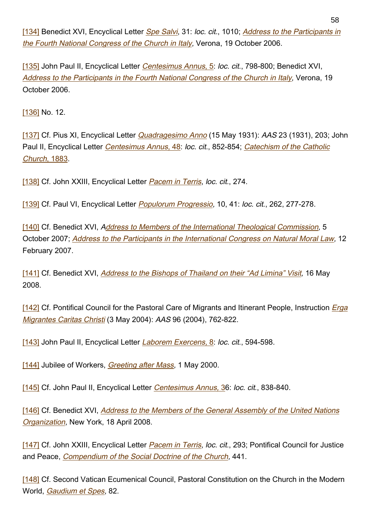[134] Benedict XVI, Encyclical Letter [Spe Salvi](http://w2.vatican.va/content/benedict-xvi/en/encyclicals/documents/hf_ben-xvi_enc_20071130_spe-salvi.html), 31: loc. cit., 1010; [Address to the Participants in](http://w2.vatican.va/content/benedict-xvi/en/speeches/2006/october/documents/hf_ben-xvi_spe_20061019_convegno-verona.html) [the Fourth National Congress of the Church in Italy](http://w2.vatican.va/content/benedict-xvi/en/speeches/2006/october/documents/hf_ben-xvi_spe_20061019_convegno-verona.html), Verona, 19 October 2006.

[135] John Paul II, Encyclical Letter *[Centesimus Annus](http://www.vatican.va/edocs/ENG0214/__P3.HTM)*[, 5:](http://www.vatican.va/edocs/ENG0214/__P3.HTM) loc. cit., 798-800; Benedict XVI, [Address to the Participants in the Fourth National Congress of the Church in Italy](http://w2.vatican.va/content/benedict-xvi/en/speeches/2006/october/documents/hf_ben-xvi_spe_20061019_convegno-verona.html), Verona, 19 October 2006.

[136] No. 12.

[137] Cf. Pius XI, Encyclical Letter *[Quadragesimo Anno](http://w2.vatican.va/content/pius-xi/en/encyclicals/documents/hf_p-xi_enc_19310515_quadragesimo-anno.html)* (15 May 1931): AAS 23 (1931), 203; John Paul II, Encyclical Letter [Centesimus Annus](http://www.vatican.va/edocs/ENG0214/__P7.HTM)[, 48:](http://www.vatican.va/edocs/ENG0214/__P7.HTM) loc. cit., 852-854; [Catechism of the Catholic](http://www.vatican.va/archive/ENG0015/__P6G.HTM) [Church](http://www.vatican.va/archive/ENG0015/__P6G.HTM)[, 1883](http://www.vatican.va/archive/ENG0015/__P6G.HTM).

[138] Cf. John XXIII, Encyclical Letter *[Pacem in Terris](http://w2.vatican.va/content/john-xxiii/en/encyclicals/documents/hf_j-xxiii_enc_11041963_pacem.html)*, loc. cit., 274.

[139] Cf. Paul VI, Encyclical Letter *[Populorum Progressio](http://w2.vatican.va/content/paul-vi/en/encyclicals/documents/hf_p-vi_enc_26031967_populorum.html)*, 10, 41: loc. cit., 262, 277-278.

[140] Cf. Benedict XVI, [Address to Members of the International Theological Commission](http://w2.vatican.va/content/benedict-xvi/en/speeches/2007/october/documents/hf_ben-xvi_spe_20071005_cti.html), 5 October 2007; [Address to the Participants in the International Congress on Natural Moral Law](http://w2.vatican.va/content/benedict-xvi/en/speeches/2007/february/documents/hf_ben-xvi_spe_20070212_pul.html), 12 February 2007.

[141] Cf. Benedict XVI, *[Address to the Bishops of Thailand on their "Ad Limina" Visit](http://w2.vatican.va/content/benedict-xvi/en/speeches/2008/may/documents/hf_ben-xvi_spe_20080516_bishops-thailand.html)*, 16 May 2008.

[142] Cf. Pontifical Council for the Pastoral Care of Migrants and Itinerant People, Instruction *[Erga](http://www.vatican.va/roman_curia/pontifical_councils/migrants/documents/rc_pc_migrants_doc_20040514_erga-migrantes-caritas-christi_en.html)* [Migrantes Caritas Christi](http://www.vatican.va/roman_curia/pontifical_councils/migrants/documents/rc_pc_migrants_doc_20040514_erga-migrantes-caritas-christi_en.html) (3 May 2004): AAS 96 (2004), 762-822.

[143] John Paul II, Encyclical Letter *Laborem Exercens*, [8:](http://www.vatican.va/edocs/ENG0217/__P9.HTM) loc. cit., 594-598.

[144] Jubilee of Workers, [Greeting after Mass](http://w2.vatican.va/content/john-paul-ii/en/speeches/2000/apr-jun/documents/hf_jp-ii_spe_20000501_jub-workers.html), 1 May 2000.

[145] Cf. John Paul II, Encyclical Letter [Centesimus Annus,](http://www.vatican.va/edocs/ENG0214/__P6.HTM) [3](http://www.vatican.va/edocs/ENG0214/__P6.HTM)6: loc. cit., 838-840.

[146] Cf. Benedict XVI, *[Address to the Members of the General Assembly of the United Nations](http://w2.vatican.va/content/benedict-xvi/en/speeches/2008/april/documents/hf_ben-xvi_spe_20080418_un-visit.html)* [Organization](http://w2.vatican.va/content/benedict-xvi/en/speeches/2008/april/documents/hf_ben-xvi_spe_20080418_un-visit.html), New York, 18 April 2008.

[147] Cf. John XXIII, Encyclical Letter *[Pacem in Terris](http://w2.vatican.va/content/john-xxiii/en/encyclicals/documents/hf_j-xxiii_enc_11041963_pacem.html), loc. cit.*, 293; Pontifical Council for Justice and Peace, [Compendium of the Social Doctrine of the Church](http://www.vatican.va/roman_curia/pontifical_councils/justpeace/documents/rc_pc_justpeace_doc_20060526_compendio-dott-soc_en.html), 441.

[148] Cf. Second Vatican Ecumenical Council, Pastoral Constitution on the Church in the Modern World, [Gaudium et Spes](http://www.vatican.va/archive/hist_councils/ii_vatican_council/documents/vat-ii_const_19651207_gaudium-et-spes_en.html), 82.